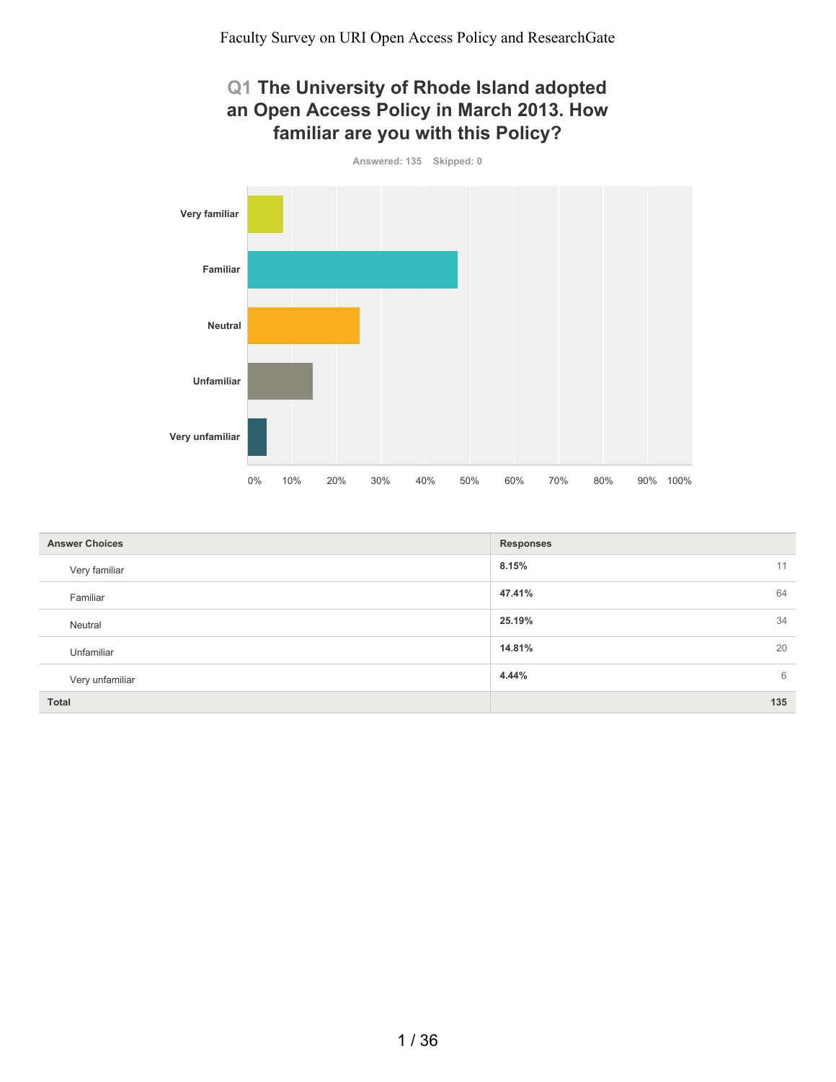## **Q1 The University of Rhode Island adopted an Open Access Policy in March 2013. How familiar are you with this Policy?**



| <b>Answer Choices</b> | <b>Responses</b> |  |
|-----------------------|------------------|--|
| Very familiar         | 8.15%<br>11      |  |
| Familiar              | 64<br>47.41%     |  |
| Neutral               | 34<br>25.19%     |  |
| Unfamiliar            | 20<br>14.81%     |  |
| Very unfamiliar       | 4.44%<br>6       |  |
| <b>Total</b>          | 135              |  |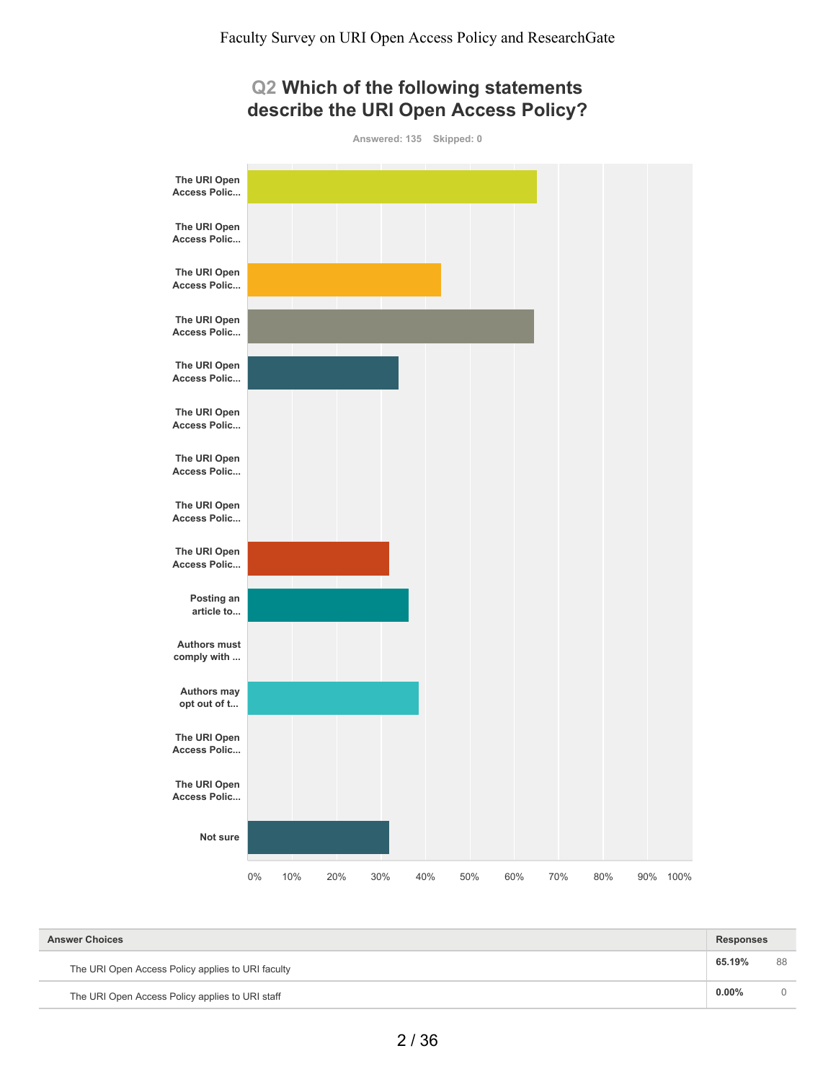## **Q2 Which of the following statements describe the URI Open Access Policy?**



| <b>Answer Choices</b>                             | Responses |    |
|---------------------------------------------------|-----------|----|
| The URI Open Access Policy applies to URI faculty | 65.19%    | 88 |
| The URI Open Access Policy applies to URI staff   | $0.00\%$  |    |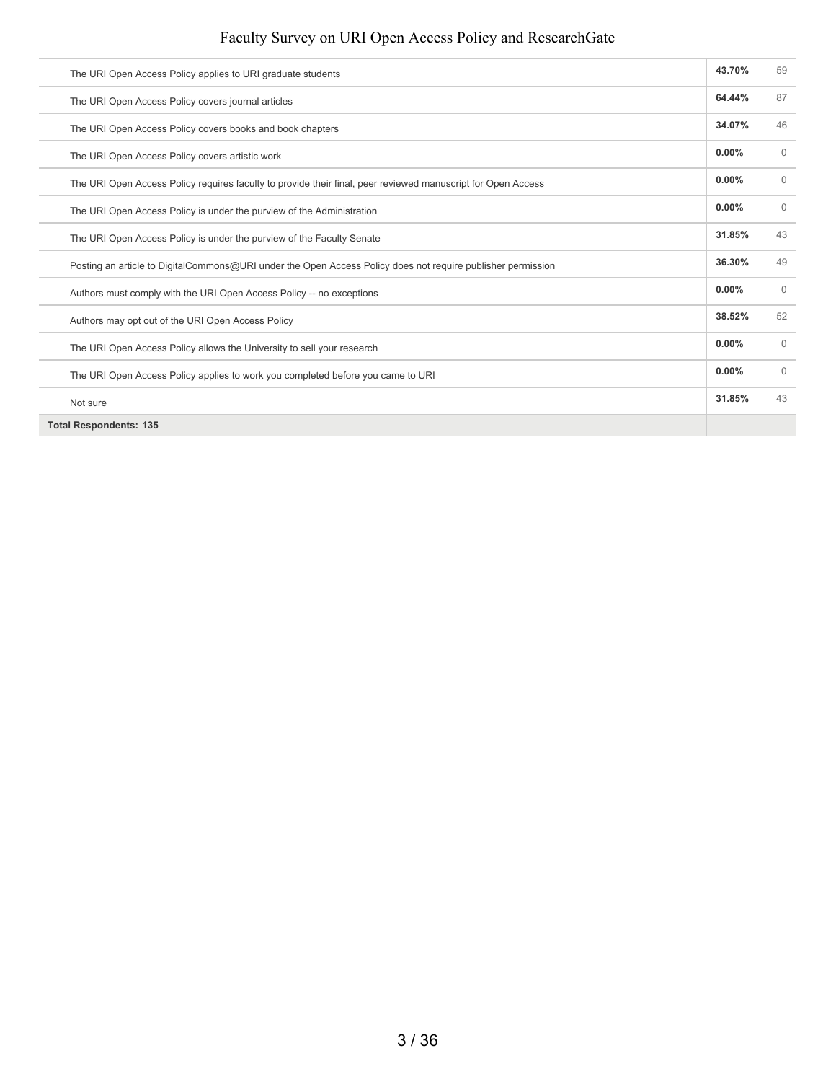| The URI Open Access Policy applies to URI graduate students                                                  | 43.70%   | 59           |
|--------------------------------------------------------------------------------------------------------------|----------|--------------|
| The URI Open Access Policy covers journal articles                                                           | 64.44%   | 87           |
| The URI Open Access Policy covers books and book chapters                                                    | 34.07%   | 46           |
| The URI Open Access Policy covers artistic work                                                              | 0.00%    | $\Omega$     |
| The URI Open Access Policy requires faculty to provide their final, peer reviewed manuscript for Open Access | 0.00%    | $\Omega$     |
| The URI Open Access Policy is under the purview of the Administration                                        | $0.00\%$ | $\mathbf{0}$ |
| The URI Open Access Policy is under the purview of the Faculty Senate                                        | 31.85%   | 43           |
| Posting an article to DigitalCommons@URI under the Open Access Policy does not require publisher permission  | 36.30%   | 49           |
| Authors must comply with the URI Open Access Policy -- no exceptions                                         | $0.00\%$ | $\Omega$     |
| Authors may opt out of the URI Open Access Policy                                                            | 38.52%   | 52           |
| The URI Open Access Policy allows the University to sell your research                                       | $0.00\%$ | $\Omega$     |
| The URI Open Access Policy applies to work you completed before you came to URI                              | 0.00%    | $\Omega$     |
| Not sure                                                                                                     | 31.85%   | 43           |
| <b>Total Respondents: 135</b>                                                                                |          |              |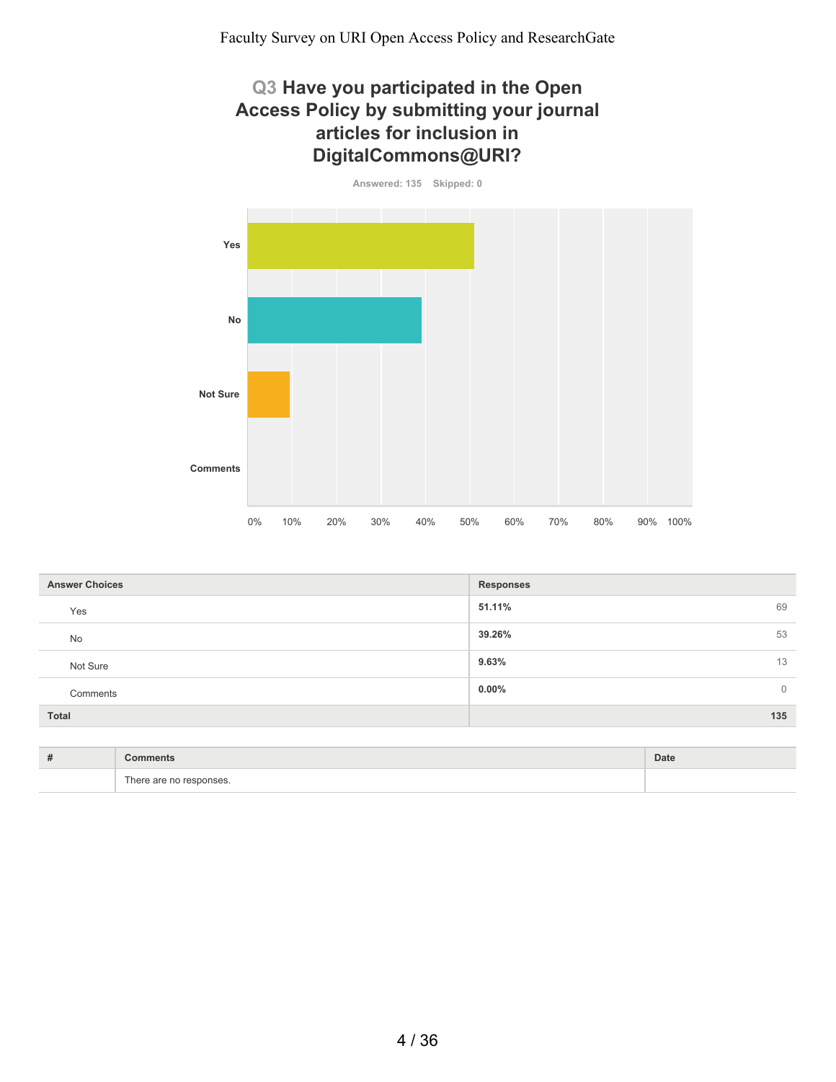## **Q3 Have you participated in the Open Access Policy by submitting your journal articles for inclusion in DigitalCommons@URI?**

**Answered: 135 Skipped: 0**



| <b>Answer Choices</b> | <b>Responses</b>           |
|-----------------------|----------------------------|
| Yes                   | 51.11%<br>69               |
| No                    | 39.26%<br>53               |
| Not Sure              | 9.63%<br>13                |
| Comments              | $0.00\%$<br>$\overline{0}$ |
| Total                 | 135                        |
|                       |                            |

| <br>'ommon       | Date |
|------------------|------|
| $h^{\circ}$<br>. |      |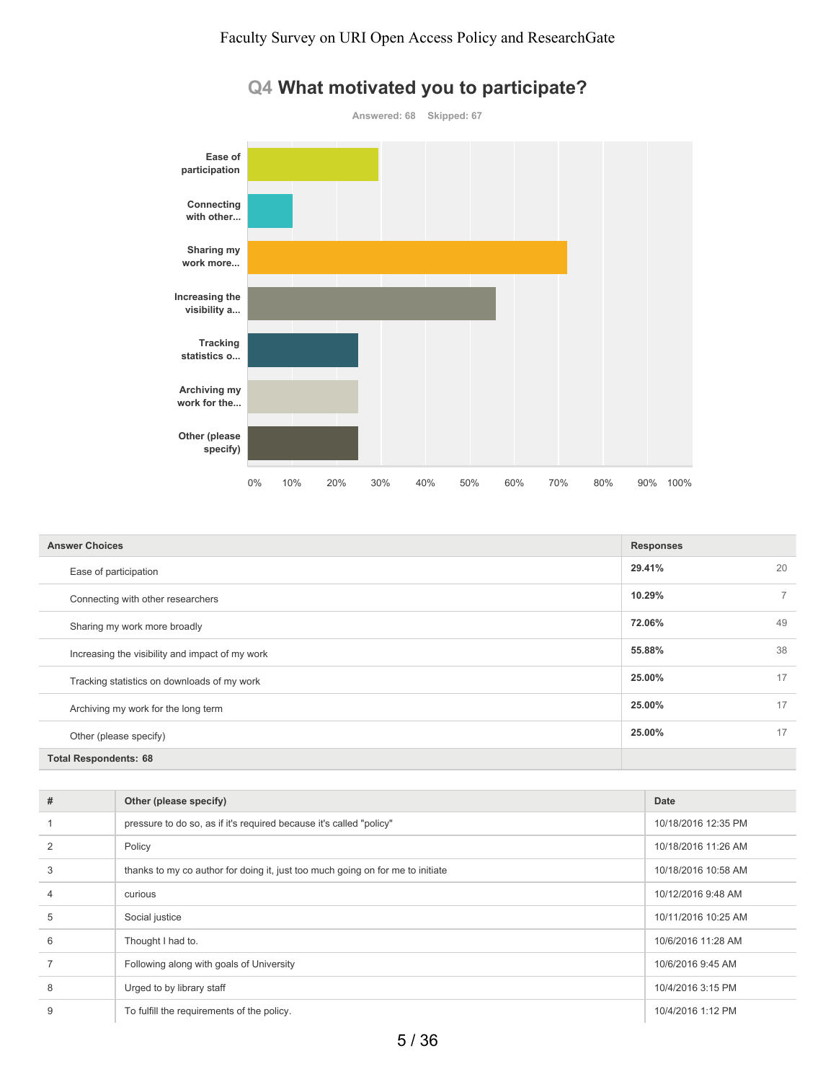

# **Q4 What motivated you to participate?**

| <b>Answer Choices</b>                           | <b>Responses</b> |    |
|-------------------------------------------------|------------------|----|
| Ease of participation                           | 29.41%           | 20 |
| Connecting with other researchers               | 10.29%           |    |
| Sharing my work more broadly                    | 72.06%           | 49 |
| Increasing the visibility and impact of my work | 55.88%           | 38 |
| Tracking statistics on downloads of my work     | 25.00%           | 17 |
| Archiving my work for the long term             | 25.00%           | 17 |
| Other (please specify)                          | 25.00%           | 17 |
| <b>Total Respondents: 68</b>                    |                  |    |

| #              | Other (please specify)                                                         | Date                |
|----------------|--------------------------------------------------------------------------------|---------------------|
|                | pressure to do so, as if it's required because it's called "policy"            | 10/18/2016 12:35 PM |
| 2              | Policy                                                                         | 10/18/2016 11:26 AM |
| 3              | thanks to my co author for doing it, just too much going on for me to initiate | 10/18/2016 10:58 AM |
| $\overline{4}$ | curious                                                                        | 10/12/2016 9:48 AM  |
| 5              | Social justice                                                                 | 10/11/2016 10:25 AM |
| 6              | Thought I had to.                                                              | 10/6/2016 11:28 AM  |
|                | Following along with goals of University                                       | 10/6/2016 9:45 AM   |
| 8              | Urged to by library staff                                                      | 10/4/2016 3:15 PM   |
| 9              | To fulfill the requirements of the policy.                                     | 10/4/2016 1:12 PM   |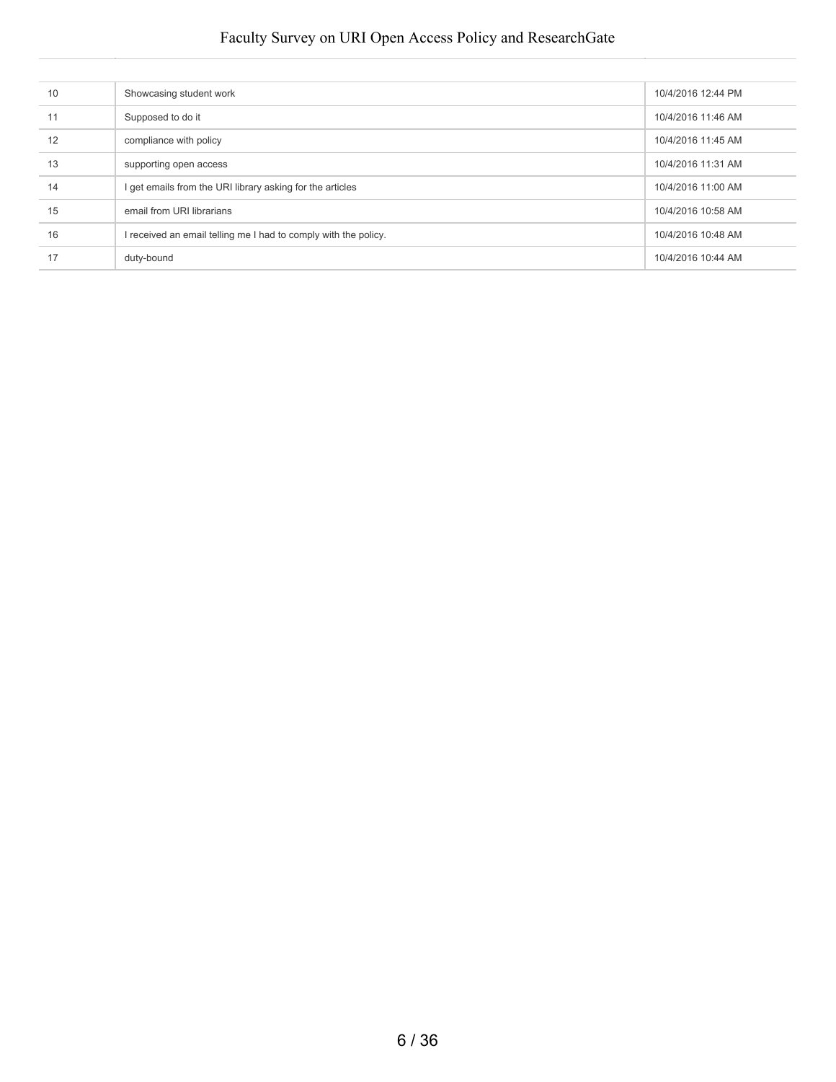| 10 | Showcasing student work                                         | 10/4/2016 12:44 PM |
|----|-----------------------------------------------------------------|--------------------|
| 11 | Supposed to do it                                               | 10/4/2016 11:46 AM |
| 12 | compliance with policy                                          | 10/4/2016 11:45 AM |
| 13 | supporting open access                                          | 10/4/2016 11:31 AM |
| 14 | I get emails from the URI library asking for the articles       | 10/4/2016 11:00 AM |
| 15 | email from URI librarians                                       | 10/4/2016 10:58 AM |
| 16 | I received an email telling me I had to comply with the policy. | 10/4/2016 10:48 AM |
| 17 | duty-bound                                                      | 10/4/2016 10:44 AM |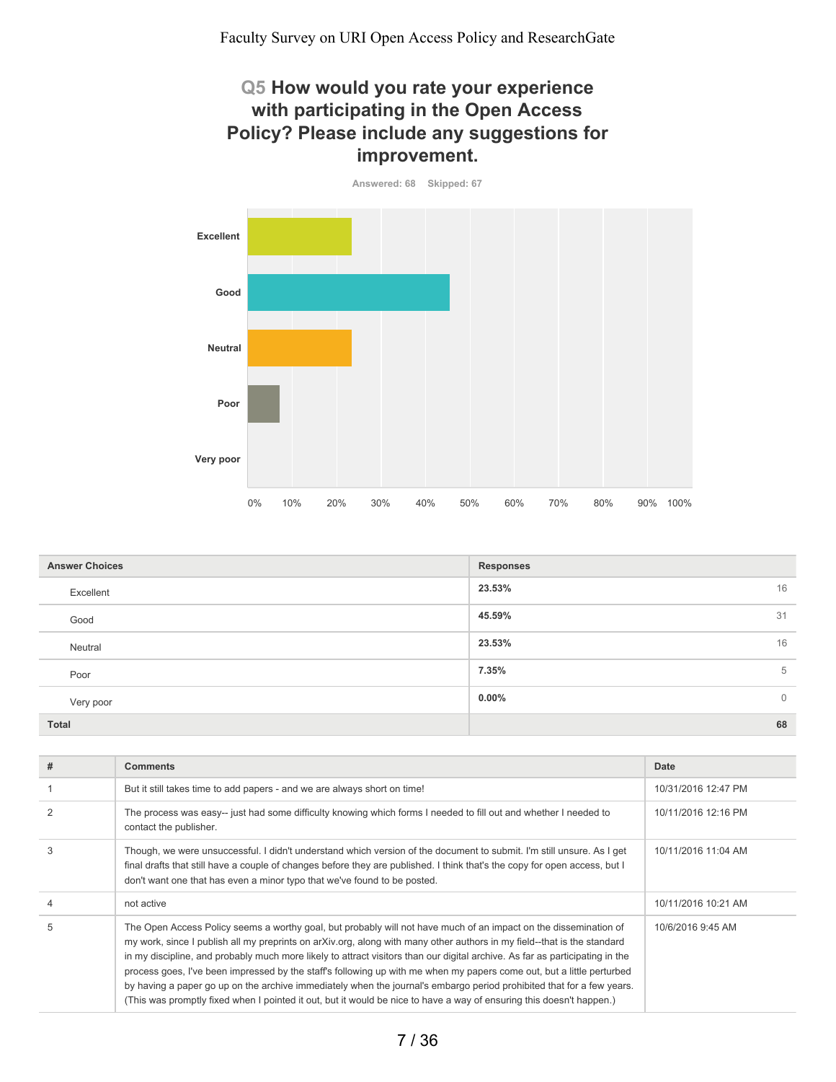### **Q5 How would you rate your experience with participating in the Open Access Policy? Please include any suggestions for improvement.**

**Answered: 68 Skipped: 67**



| <b>Answer Choices</b> | <b>Responses</b>         |
|-----------------------|--------------------------|
| Excellent             | 23.53%<br>16             |
| Good                  | 45.59%<br>31             |
| Neutral               | 23.53%<br>16             |
| Poor                  | 7.35%<br>5               |
| Very poor             | $0.00\%$<br>$\mathbf{0}$ |
| <b>Total</b>          | 68                       |

| # | <b>Comments</b>                                                                                                                                                                                                                                                                                                                                                                                                                                                                                                                                                                                                                                                                                                                                       | Date                |
|---|-------------------------------------------------------------------------------------------------------------------------------------------------------------------------------------------------------------------------------------------------------------------------------------------------------------------------------------------------------------------------------------------------------------------------------------------------------------------------------------------------------------------------------------------------------------------------------------------------------------------------------------------------------------------------------------------------------------------------------------------------------|---------------------|
|   | But it still takes time to add papers - and we are always short on time!                                                                                                                                                                                                                                                                                                                                                                                                                                                                                                                                                                                                                                                                              | 10/31/2016 12:47 PM |
|   | The process was easy-- just had some difficulty knowing which forms I needed to fill out and whether I needed to<br>contact the publisher.                                                                                                                                                                                                                                                                                                                                                                                                                                                                                                                                                                                                            | 10/11/2016 12:16 PM |
| 3 | Though, we were unsuccessful. I didn't understand which version of the document to submit. I'm still unsure. As I get<br>final drafts that still have a couple of changes before they are published. I think that's the copy for open access, but I<br>don't want one that has even a minor typo that we've found to be posted.                                                                                                                                                                                                                                                                                                                                                                                                                       | 10/11/2016 11:04 AM |
|   | not active                                                                                                                                                                                                                                                                                                                                                                                                                                                                                                                                                                                                                                                                                                                                            | 10/11/2016 10:21 AM |
| 5 | The Open Access Policy seems a worthy goal, but probably will not have much of an impact on the dissemination of<br>my work, since I publish all my preprints on arXiv.org, along with many other authors in my field--that is the standard<br>in my discipline, and probably much more likely to attract visitors than our digital archive. As far as participating in the<br>process goes, I've been impressed by the staff's following up with me when my papers come out, but a little perturbed<br>by having a paper go up on the archive immediately when the journal's embargo period prohibited that for a few years.<br>(This was promptly fixed when I pointed it out, but it would be nice to have a way of ensuring this doesn't happen.) | 10/6/2016 9:45 AM   |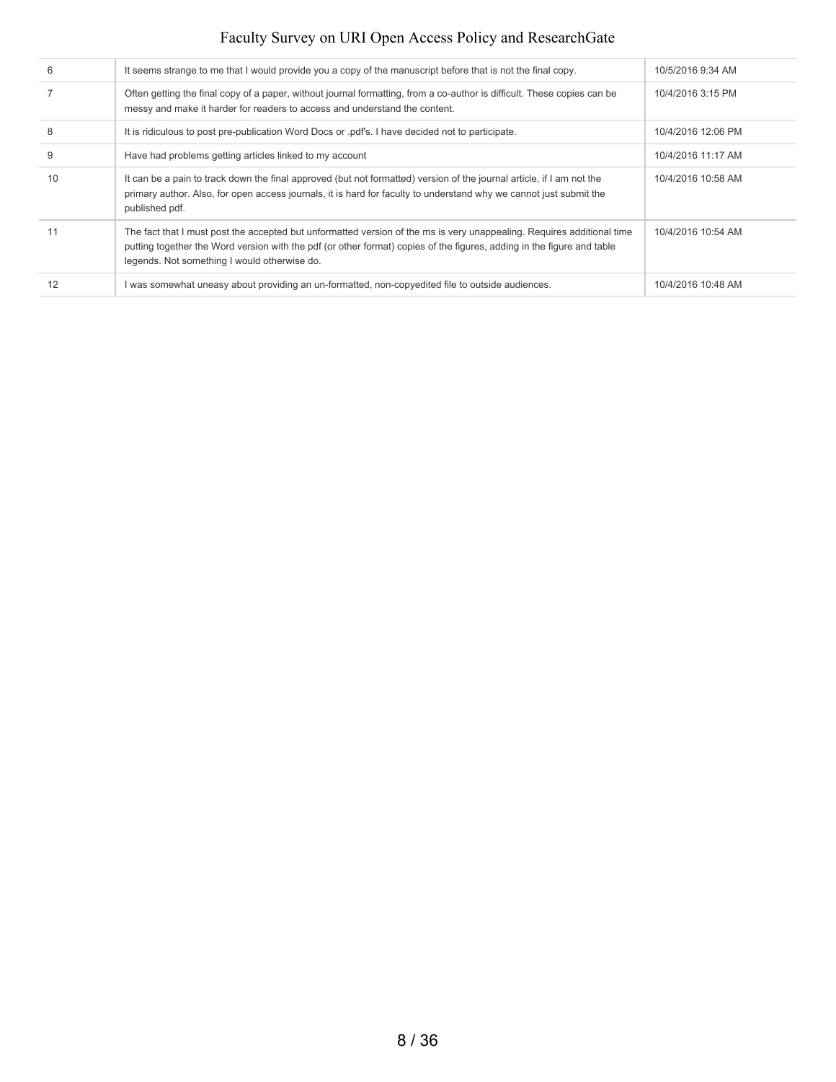| 6  | It seems strange to me that I would provide you a copy of the manuscript before that is not the final copy.                                                                                                                                                                                      | 10/5/2016 9:34 AM  |
|----|--------------------------------------------------------------------------------------------------------------------------------------------------------------------------------------------------------------------------------------------------------------------------------------------------|--------------------|
|    | Often getting the final copy of a paper, without journal formatting, from a co-author is difficult. These copies can be<br>messy and make it harder for readers to access and understand the content.                                                                                            | 10/4/2016 3:15 PM  |
|    | It is ridiculous to post pre-publication Word Docs or pdf's. I have decided not to participate.                                                                                                                                                                                                  | 10/4/2016 12:06 PM |
| 9  | Have had problems getting articles linked to my account                                                                                                                                                                                                                                          | 10/4/2016 11:17 AM |
| 10 | It can be a pain to track down the final approved (but not formatted) version of the journal article, if I am not the<br>primary author. Also, for open access journals, it is hard for faculty to understand why we cannot just submit the<br>published pdf.                                    | 10/4/2016 10:58 AM |
|    | The fact that I must post the accepted but unformatted version of the ms is very unappealing. Requires additional time<br>putting together the Word version with the pdf (or other format) copies of the figures, adding in the figure and table<br>legends. Not something I would otherwise do. | 10/4/2016 10:54 AM |
| 12 | was somewhat uneasy about providing an un-formatted, non-copyedited file to outside audiences.                                                                                                                                                                                                   | 10/4/2016 10:48 AM |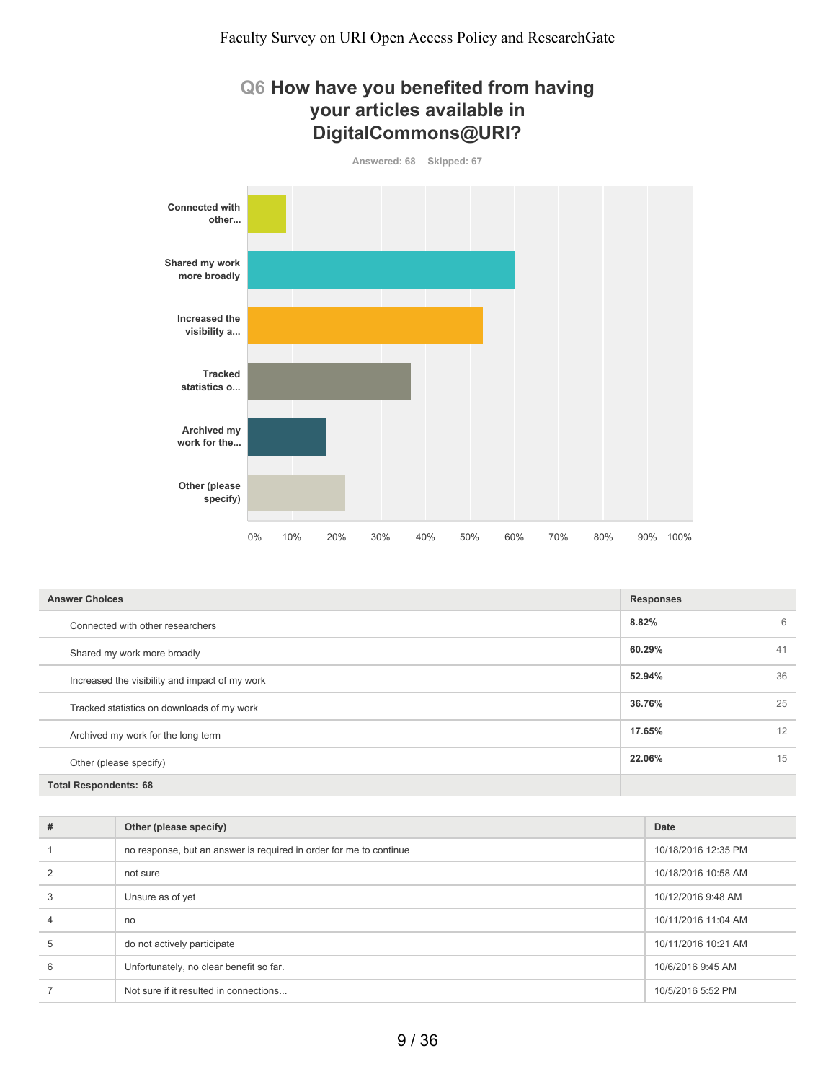### **Q6 How have you benefited from having your articles available in DigitalCommons@URI?**



| <b>Answer Choices</b>                          | <b>Responses</b> |    |
|------------------------------------------------|------------------|----|
| Connected with other researchers               | 8.82%            | 6  |
| Shared my work more broadly                    | 60.29%           | 41 |
| Increased the visibility and impact of my work | 52.94%           | 36 |
| Tracked statistics on downloads of my work     | 36.76%           | 25 |
| Archived my work for the long term             | 17.65%           | 12 |
| Other (please specify)                         | 22.06%           | 15 |
| <b>Total Respondents: 68</b>                   |                  |    |

| #              | Other (please specify)                                             | Date                |
|----------------|--------------------------------------------------------------------|---------------------|
|                | no response, but an answer is required in order for me to continue | 10/18/2016 12:35 PM |
| $\overline{2}$ | not sure                                                           | 10/18/2016 10:58 AM |
| 3              | Unsure as of yet                                                   | 10/12/2016 9:48 AM  |
| 4              | no                                                                 | 10/11/2016 11:04 AM |
| 5              | do not actively participate                                        | 10/11/2016 10:21 AM |
| 6              | Unfortunately, no clear benefit so far.                            | 10/6/2016 9:45 AM   |
|                | Not sure if it resulted in connections                             | 10/5/2016 5:52 PM   |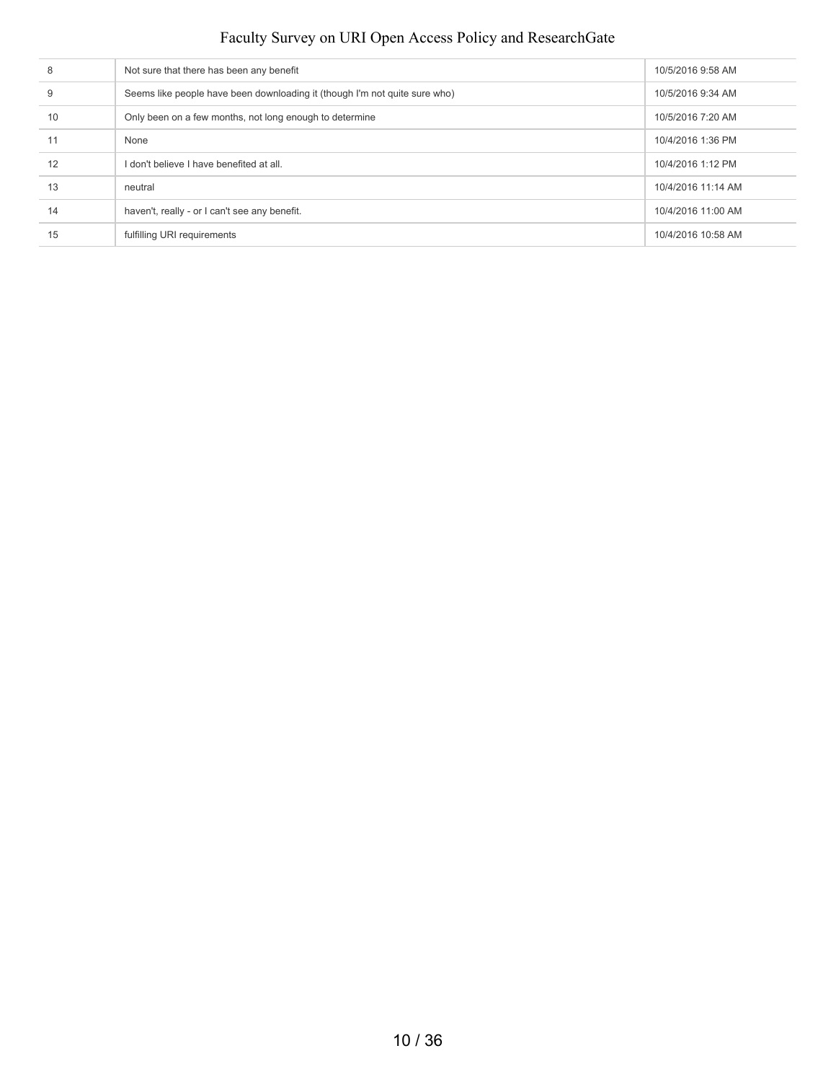| 8  | Not sure that there has been any benefit                                   | 10/5/2016 9:58 AM  |
|----|----------------------------------------------------------------------------|--------------------|
| 9  | Seems like people have been downloading it (though I'm not quite sure who) | 10/5/2016 9:34 AM  |
| 10 | Only been on a few months, not long enough to determine                    | 10/5/2016 7:20 AM  |
| 11 | None                                                                       | 10/4/2016 1:36 PM  |
| 12 | I don't believe I have benefited at all.                                   | 10/4/2016 1:12 PM  |
| 13 | neutral                                                                    | 10/4/2016 11:14 AM |
| 14 | haven't, really - or I can't see any benefit.                              | 10/4/2016 11:00 AM |
| 15 | fulfilling URI requirements                                                | 10/4/2016 10:58 AM |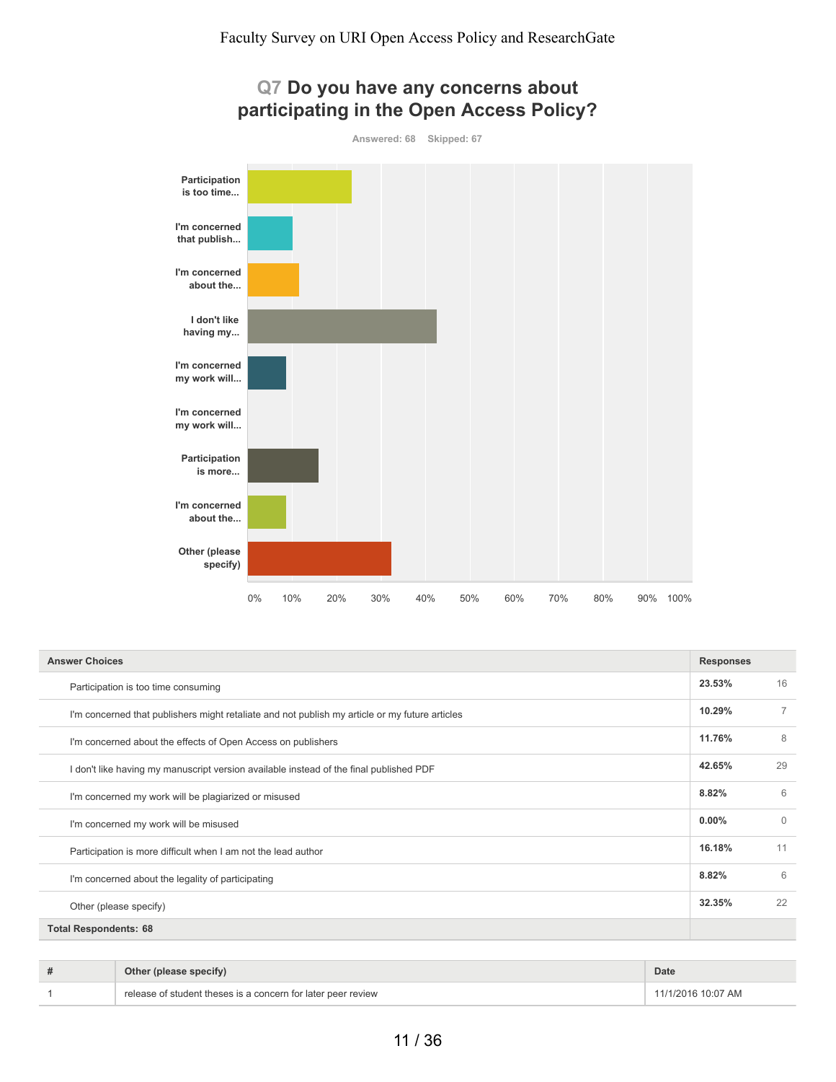

| <b>Answer Choices</b>                                                                          |          | <b>Responses</b> |
|------------------------------------------------------------------------------------------------|----------|------------------|
| Participation is too time consuming                                                            | 23.53%   | 16               |
| I'm concerned that publishers might retaliate and not publish my article or my future articles | 10.29%   | $\overline{7}$   |
| I'm concerned about the effects of Open Access on publishers                                   | 11.76%   | 8                |
| I don't like having my manuscript version available instead of the final published PDF         | 42.65%   | 29               |
| I'm concerned my work will be plagiarized or misused                                           | 8.82%    | 6                |
| I'm concerned my work will be misused                                                          | $0.00\%$ | $\Omega$         |
| Participation is more difficult when I am not the lead author                                  | 16.18%   | 11               |
| I'm concerned about the legality of participating                                              | 8.82%    | 6                |
| Other (please specify)                                                                         | 32.35%   | 22               |
| <b>Total Respondents: 68</b>                                                                   |          |                  |

| # | Other (please specify)                                       | Date           |
|---|--------------------------------------------------------------|----------------|
|   | release of student theses is a concern for later peer review | /2016 10:07 AM |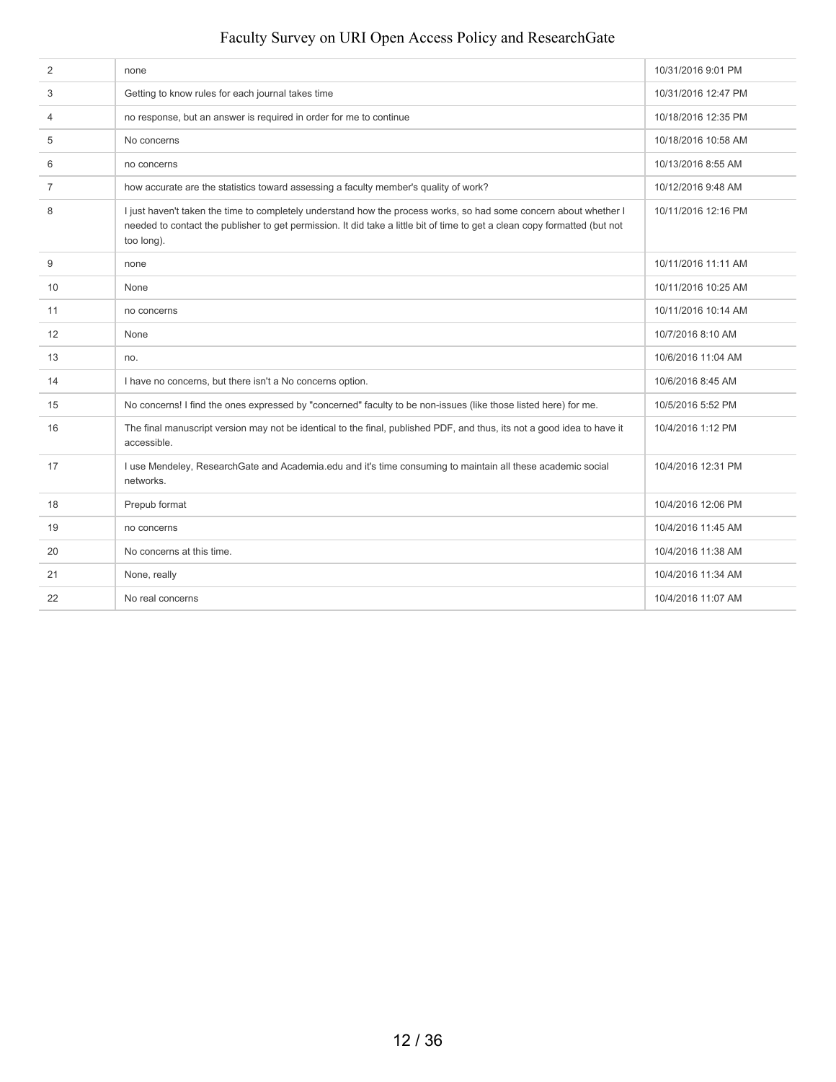| 2              | none                                                                                                                                                                                                                                                          | 10/31/2016 9:01 PM  |
|----------------|---------------------------------------------------------------------------------------------------------------------------------------------------------------------------------------------------------------------------------------------------------------|---------------------|
| 3              | Getting to know rules for each journal takes time                                                                                                                                                                                                             | 10/31/2016 12:47 PM |
| 4              | no response, but an answer is required in order for me to continue                                                                                                                                                                                            | 10/18/2016 12:35 PM |
| 5              | No concerns                                                                                                                                                                                                                                                   | 10/18/2016 10:58 AM |
| 6              | no concerns                                                                                                                                                                                                                                                   | 10/13/2016 8:55 AM  |
| $\overline{7}$ | how accurate are the statistics toward assessing a faculty member's quality of work?                                                                                                                                                                          | 10/12/2016 9:48 AM  |
| 8              | I just haven't taken the time to completely understand how the process works, so had some concern about whether I<br>needed to contact the publisher to get permission. It did take a little bit of time to get a clean copy formatted (but not<br>too long). | 10/11/2016 12:16 PM |
| 9              | none                                                                                                                                                                                                                                                          | 10/11/2016 11:11 AM |
| 10             | None                                                                                                                                                                                                                                                          | 10/11/2016 10:25 AM |
| 11             | no concerns                                                                                                                                                                                                                                                   | 10/11/2016 10:14 AM |
| 12             | None                                                                                                                                                                                                                                                          | 10/7/2016 8:10 AM   |
| 13             | no.                                                                                                                                                                                                                                                           | 10/6/2016 11:04 AM  |
| 14             | I have no concerns, but there isn't a No concerns option.                                                                                                                                                                                                     | 10/6/2016 8:45 AM   |
| 15             | No concerns! I find the ones expressed by "concerned" faculty to be non-issues (like those listed here) for me.                                                                                                                                               | 10/5/2016 5:52 PM   |
| 16             | The final manuscript version may not be identical to the final, published PDF, and thus, its not a good idea to have it<br>accessible.                                                                                                                        | 10/4/2016 1:12 PM   |
| 17             | I use Mendeley, ResearchGate and Academia.edu and it's time consuming to maintain all these academic social<br>networks.                                                                                                                                      | 10/4/2016 12:31 PM  |
| 18             | Prepub format                                                                                                                                                                                                                                                 | 10/4/2016 12:06 PM  |
| 19             | no concerns                                                                                                                                                                                                                                                   | 10/4/2016 11:45 AM  |
| 20             | No concerns at this time.                                                                                                                                                                                                                                     | 10/4/2016 11:38 AM  |
| 21             | None, really                                                                                                                                                                                                                                                  | 10/4/2016 11:34 AM  |
| 22             | No real concerns                                                                                                                                                                                                                                              | 10/4/2016 11:07 AM  |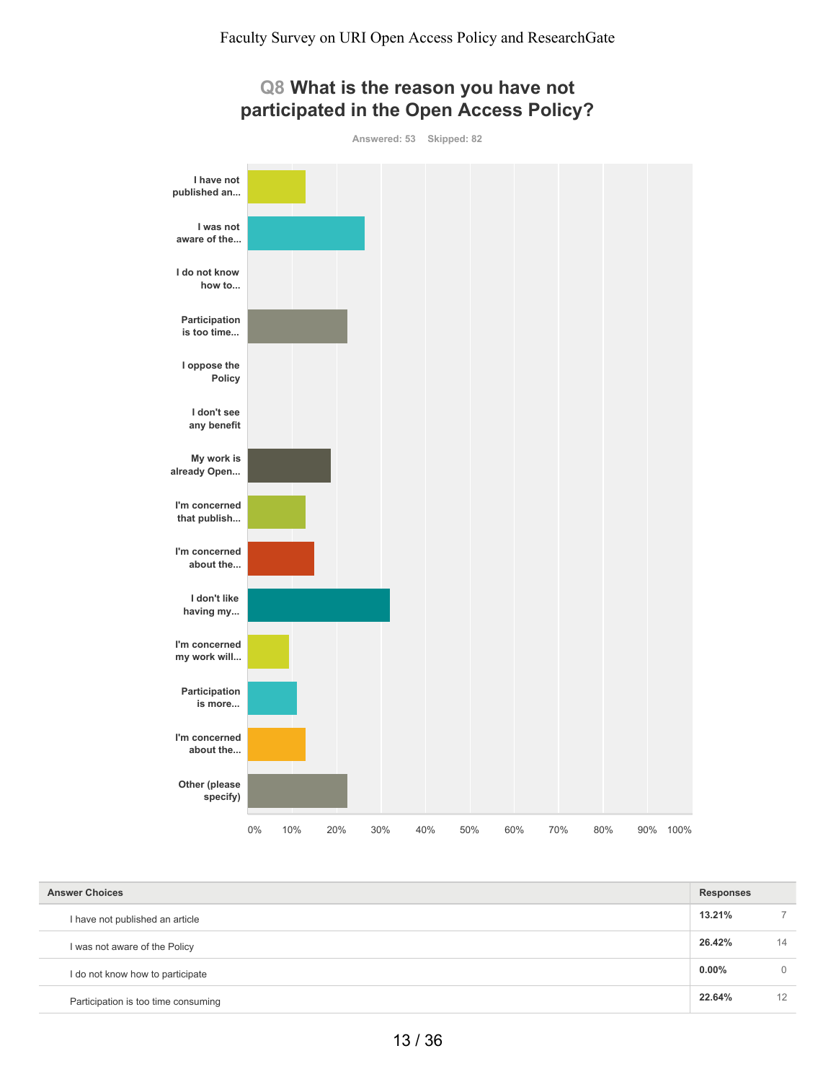

| <b>Answer Choices</b> |                                     | <b>Responses</b> |    |
|-----------------------|-------------------------------------|------------------|----|
|                       | I have not published an article     | 13.21%           |    |
|                       | I was not aware of the Policy       | 26.42%           | 14 |
|                       | I do not know how to participate    | $0.00\%$         | 0  |
|                       | Participation is too time consuming | 22.64%           | 12 |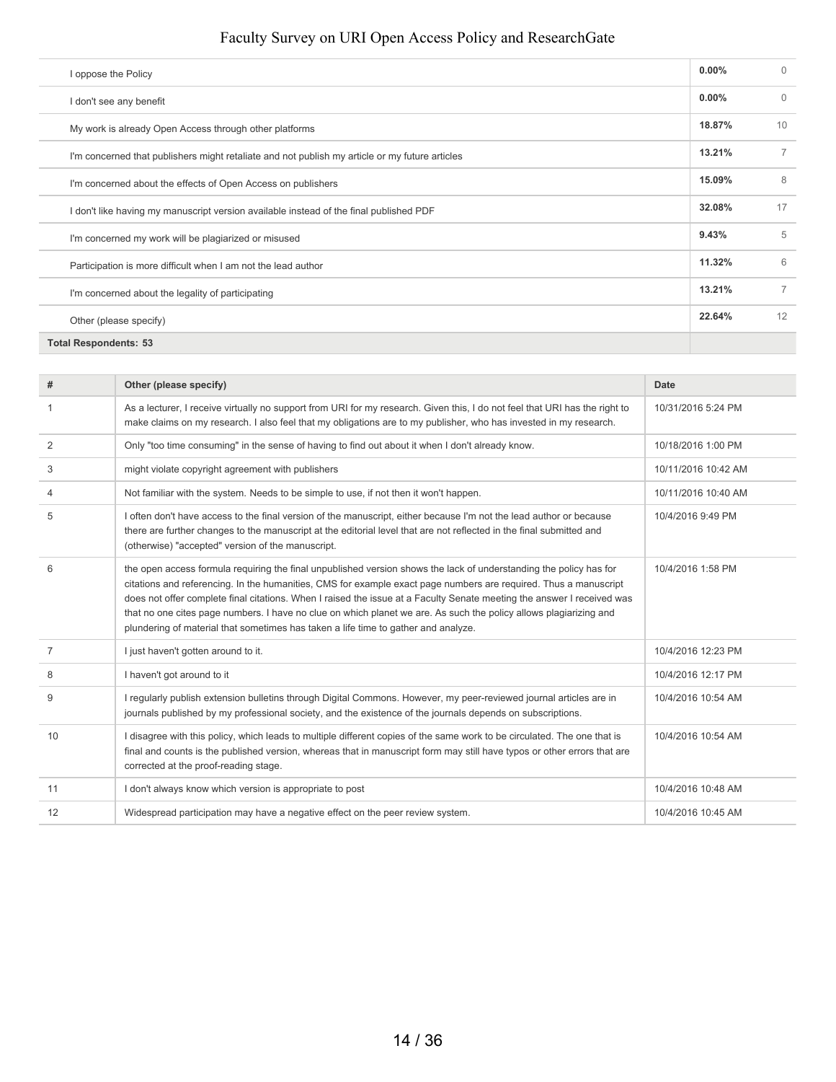| I oppose the Policy                                                                            | $0.00\%$ | $\Omega$       |
|------------------------------------------------------------------------------------------------|----------|----------------|
| I don't see any benefit                                                                        | $0.00\%$ | $\Omega$       |
| My work is already Open Access through other platforms                                         | 18.87%   | 10             |
| I'm concerned that publishers might retaliate and not publish my article or my future articles | 13.21%   | $\overline{7}$ |
| I'm concerned about the effects of Open Access on publishers                                   | 15.09%   | 8              |
| I don't like having my manuscript version available instead of the final published PDF         | 32.08%   | 17             |
| I'm concerned my work will be plagiarized or misused                                           | 9.43%    | 5              |
| Participation is more difficult when I am not the lead author                                  | 11.32%   | 6              |
| I'm concerned about the legality of participating                                              | 13.21%   | $\overline{7}$ |
| Other (please specify)                                                                         | 22.64%   | 12             |
| <b>Total Respondents: 53</b>                                                                   |          |                |

| #              | Other (please specify)                                                                                                                                                                                                                                                                                                                                                                                                                                                                                                                                                      | <b>Date</b>         |
|----------------|-----------------------------------------------------------------------------------------------------------------------------------------------------------------------------------------------------------------------------------------------------------------------------------------------------------------------------------------------------------------------------------------------------------------------------------------------------------------------------------------------------------------------------------------------------------------------------|---------------------|
| -1             | As a lecturer, I receive virtually no support from URI for my research. Given this, I do not feel that URI has the right to<br>make claims on my research. I also feel that my obligations are to my publisher, who has invested in my research.                                                                                                                                                                                                                                                                                                                            | 10/31/2016 5:24 PM  |
| 2              | Only "too time consuming" in the sense of having to find out about it when I don't already know.                                                                                                                                                                                                                                                                                                                                                                                                                                                                            | 10/18/2016 1:00 PM  |
| 3              | might violate copyright agreement with publishers                                                                                                                                                                                                                                                                                                                                                                                                                                                                                                                           | 10/11/2016 10:42 AM |
| $\overline{4}$ | Not familiar with the system. Needs to be simple to use, if not then it won't happen.                                                                                                                                                                                                                                                                                                                                                                                                                                                                                       | 10/11/2016 10:40 AM |
| 5              | I often don't have access to the final version of the manuscript, either because I'm not the lead author or because<br>there are further changes to the manuscript at the editorial level that are not reflected in the final submitted and<br>(otherwise) "accepted" version of the manuscript.                                                                                                                                                                                                                                                                            | 10/4/2016 9:49 PM   |
| 6              | the open access formula requiring the final unpublished version shows the lack of understanding the policy has for<br>citations and referencing. In the humanities, CMS for example exact page numbers are required. Thus a manuscript<br>does not offer complete final citations. When I raised the issue at a Faculty Senate meeting the answer I received was<br>that no one cites page numbers. I have no clue on which planet we are. As such the policy allows plagiarizing and<br>plundering of material that sometimes has taken a life time to gather and analyze. | 10/4/2016 1:58 PM   |
| $\overline{7}$ | I just haven't gotten around to it.                                                                                                                                                                                                                                                                                                                                                                                                                                                                                                                                         | 10/4/2016 12:23 PM  |
| 8              | I haven't got around to it                                                                                                                                                                                                                                                                                                                                                                                                                                                                                                                                                  | 10/4/2016 12:17 PM  |
| 9              | I regularly publish extension bulletins through Digital Commons. However, my peer-reviewed journal articles are in<br>journals published by my professional society, and the existence of the journals depends on subscriptions.                                                                                                                                                                                                                                                                                                                                            | 10/4/2016 10:54 AM  |
| 10             | I disagree with this policy, which leads to multiple different copies of the same work to be circulated. The one that is<br>final and counts is the published version, whereas that in manuscript form may still have typos or other errors that are<br>corrected at the proof-reading stage.                                                                                                                                                                                                                                                                               | 10/4/2016 10:54 AM  |
| 11             | I don't always know which version is appropriate to post                                                                                                                                                                                                                                                                                                                                                                                                                                                                                                                    | 10/4/2016 10:48 AM  |
| 12             | Widespread participation may have a negative effect on the peer review system.                                                                                                                                                                                                                                                                                                                                                                                                                                                                                              | 10/4/2016 10:45 AM  |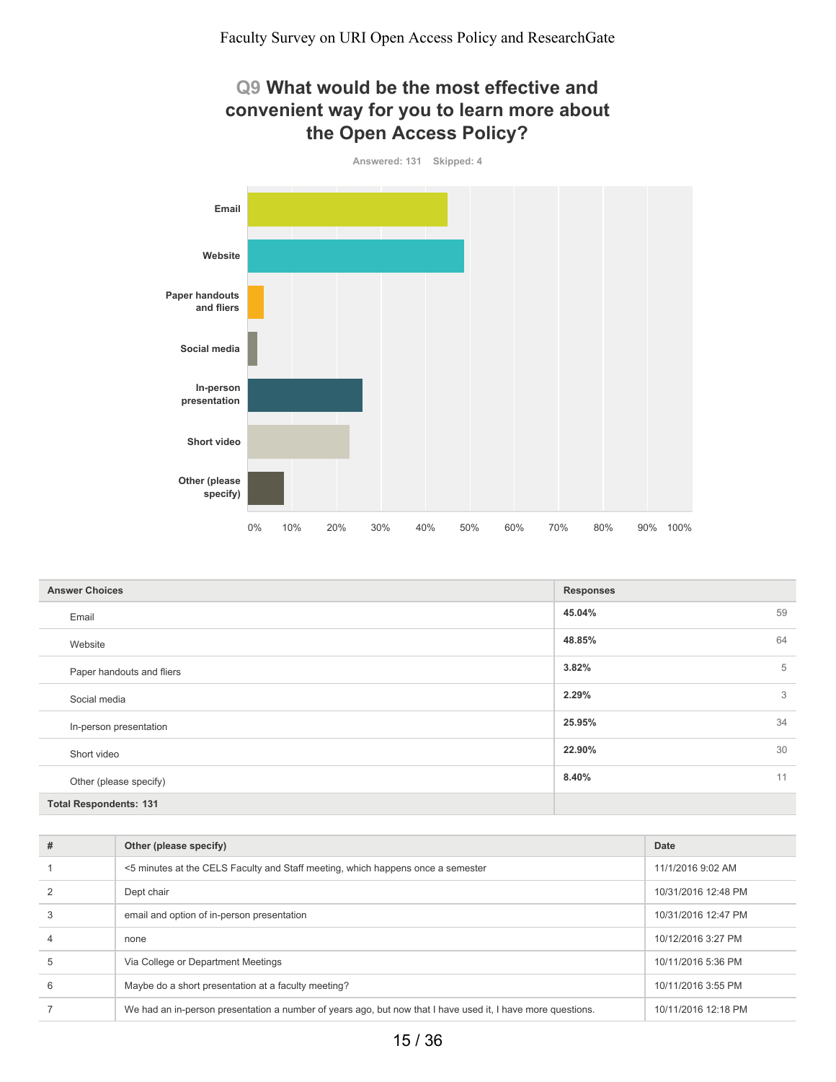### **Q9 What would be the most effective and convenient way for you to learn more about the Open Access Policy?**



| <b>Answer Choices</b>         | <b>Responses</b> |
|-------------------------------|------------------|
| Email                         | 59<br>45.04%     |
| Website                       | 64<br>48.85%     |
| Paper handouts and fliers     | 5<br>3.82%       |
| Social media                  | 3<br>2.29%       |
| In-person presentation        | 34<br>25.95%     |
| Short video                   | 30<br>22.90%     |
| Other (please specify)        | 8.40%<br>11      |
| <b>Total Respondents: 131</b> |                  |

| #              | Other (please specify)                                                                                      | Date                |
|----------------|-------------------------------------------------------------------------------------------------------------|---------------------|
|                | <5 minutes at the CELS Faculty and Staff meeting, which happens once a semester                             | 11/1/2016 9:02 AM   |
|                | Dept chair                                                                                                  | 10/31/2016 12:48 PM |
| 3              | email and option of in-person presentation                                                                  | 10/31/2016 12:47 PM |
| $\overline{4}$ | none                                                                                                        | 10/12/2016 3:27 PM  |
| 5              | Via College or Department Meetings                                                                          | 10/11/2016 5:36 PM  |
| 6              | Maybe do a short presentation at a faculty meeting?                                                         | 10/11/2016 3:55 PM  |
|                | We had an in-person presentation a number of years ago, but now that I have used it, I have more questions. | 10/11/2016 12:18 PM |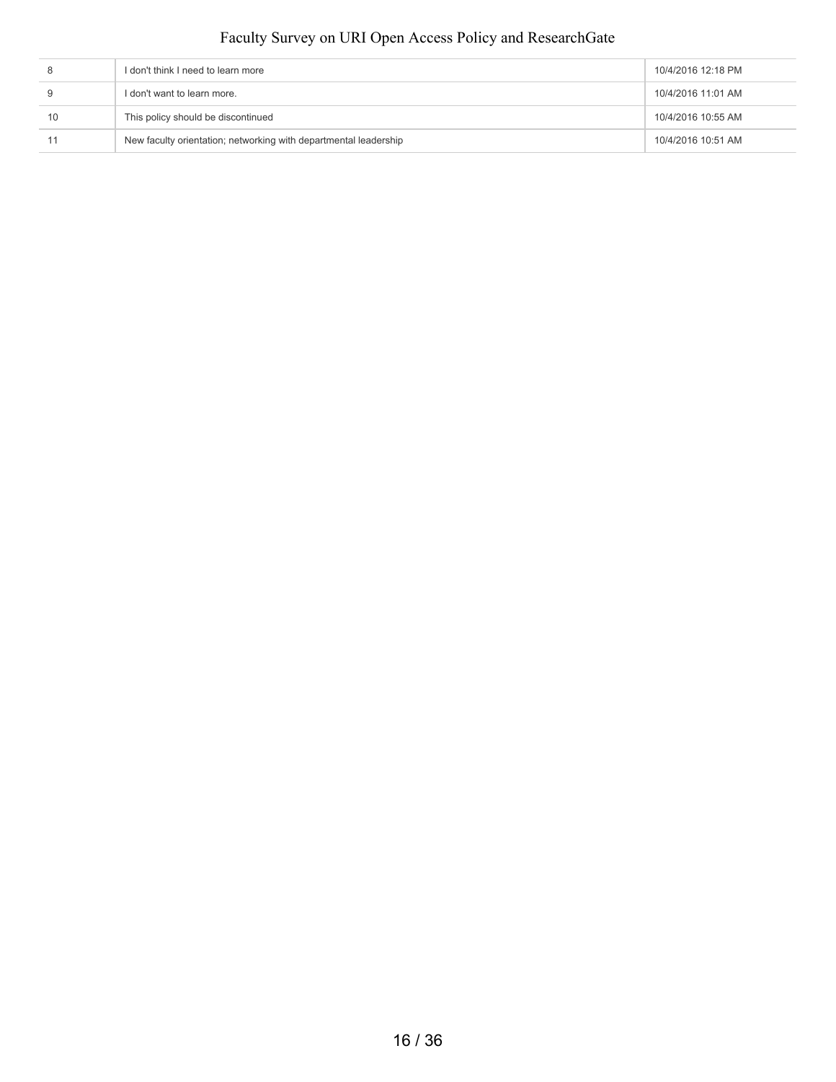|    | I don't think I need to learn more                               | 10/4/2016 12:18 PM |
|----|------------------------------------------------------------------|--------------------|
|    | I don't want to learn more.                                      | 10/4/2016 11:01 AM |
| 10 | This policy should be discontinued                               | 10/4/2016 10:55 AM |
|    | New faculty orientation; networking with departmental leadership | 10/4/2016 10:51 AM |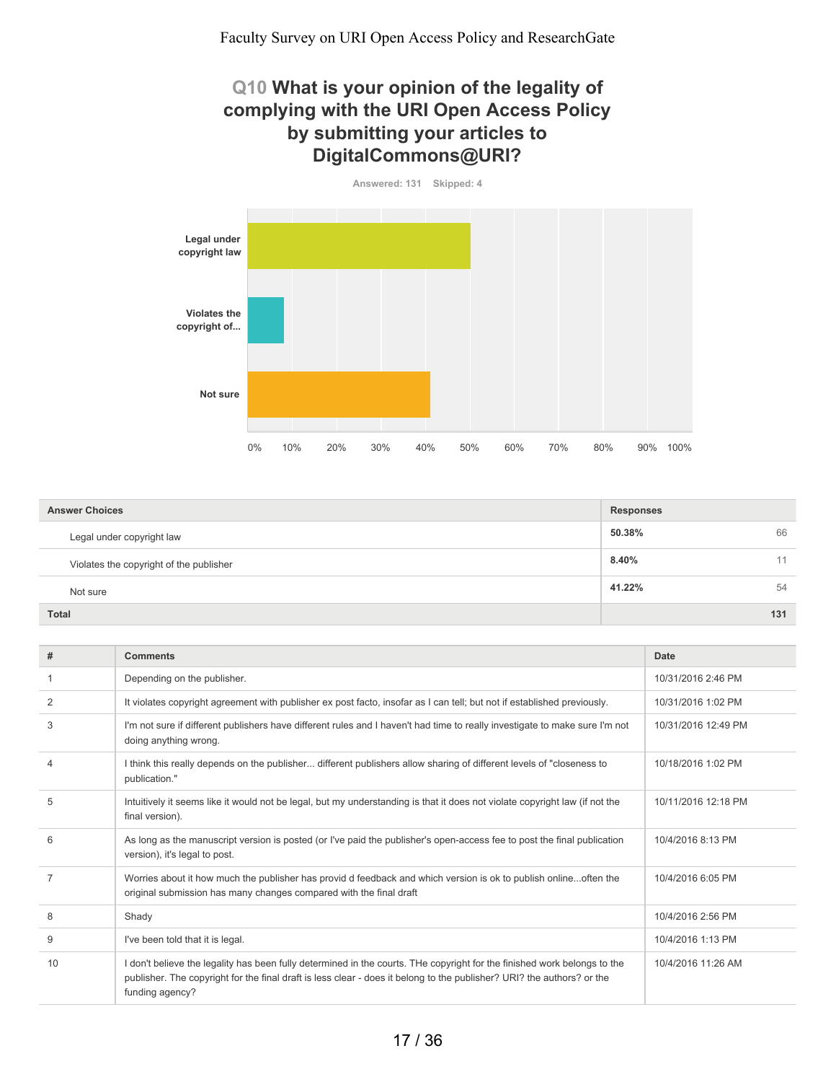### **Q10 What is your opinion of the legality of complying with the URI Open Access Policy by submitting your articles to DigitalCommons@URI?**

**Answered: 131 Skipped: 4**



| <b>Answer Choices</b>                   | <b>Responses</b> |
|-----------------------------------------|------------------|
| Legal under copyright law               | 66<br>50.38%     |
| Violates the copyright of the publisher | 8.40%<br>11      |
| Not sure                                | 41.22%<br>54     |
| <b>Total</b>                            | 131              |

| #              | <b>Comments</b>                                                                                                                                                                                                                                                       | Date                |
|----------------|-----------------------------------------------------------------------------------------------------------------------------------------------------------------------------------------------------------------------------------------------------------------------|---------------------|
|                | Depending on the publisher.                                                                                                                                                                                                                                           | 10/31/2016 2:46 PM  |
| 2              | It violates copyright agreement with publisher ex post facto, insofar as I can tell; but not if established previously.                                                                                                                                               | 10/31/2016 1:02 PM  |
| 3              | I'm not sure if different publishers have different rules and I haven't had time to really investigate to make sure I'm not<br>doing anything wrong.                                                                                                                  | 10/31/2016 12:49 PM |
| $\overline{4}$ | I think this really depends on the publisher different publishers allow sharing of different levels of "closeness to<br>publication."                                                                                                                                 | 10/18/2016 1:02 PM  |
| 5              | Intuitively it seems like it would not be legal, but my understanding is that it does not violate copyright law (if not the<br>final version).                                                                                                                        | 10/11/2016 12:18 PM |
| 6              | As long as the manuscript version is posted (or I've paid the publisher's open-access fee to post the final publication<br>version), it's legal to post.                                                                                                              | 10/4/2016 8:13 PM   |
| $\overline{7}$ | Worries about it how much the publisher has provid d feedback and which version is ok to publish onlineoften the<br>original submission has many changes compared with the final draft                                                                                | 10/4/2016 6:05 PM   |
| 8              | Shady                                                                                                                                                                                                                                                                 | 10/4/2016 2:56 PM   |
| 9              | I've been told that it is legal.                                                                                                                                                                                                                                      | 10/4/2016 1:13 PM   |
| 10             | I don't believe the legality has been fully determined in the courts. The copyright for the finished work belongs to the<br>publisher. The copyright for the final draft is less clear - does it belong to the publisher? URI? the authors? or the<br>funding agency? | 10/4/2016 11:26 AM  |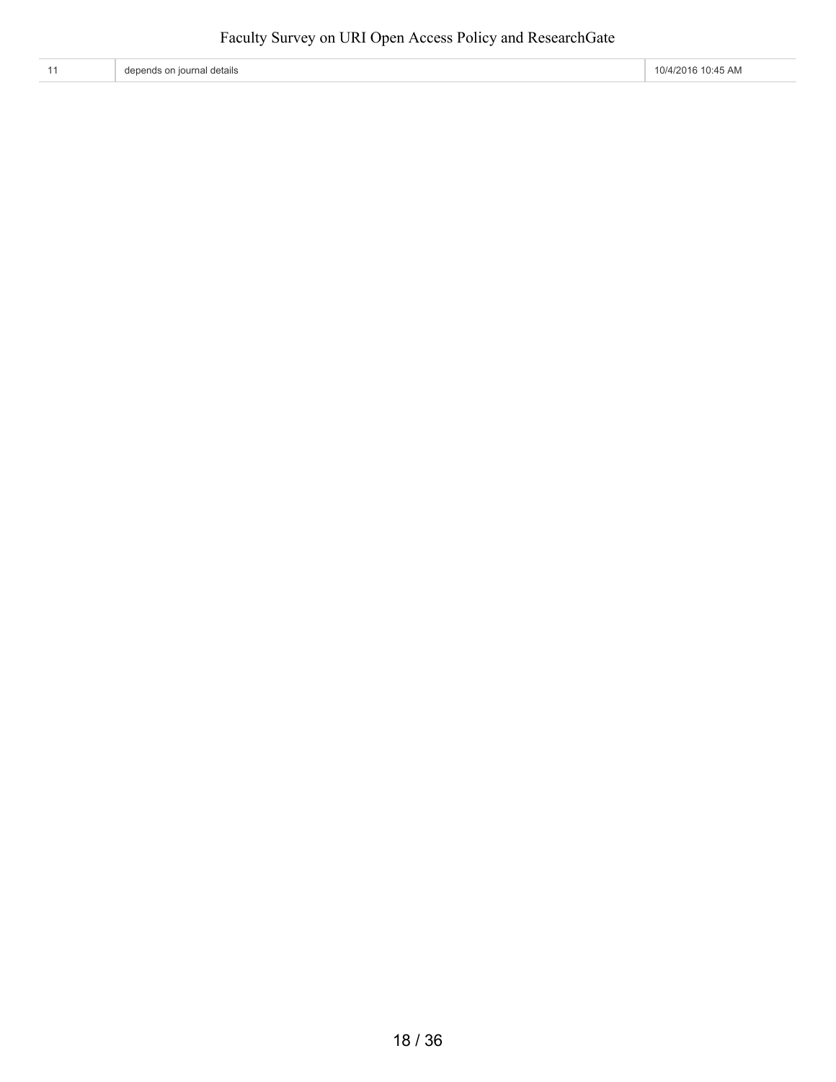| $\overline{A}$ | depends on journal details | 10/4/2016 10:45 AM |
|----------------|----------------------------|--------------------|
|----------------|----------------------------|--------------------|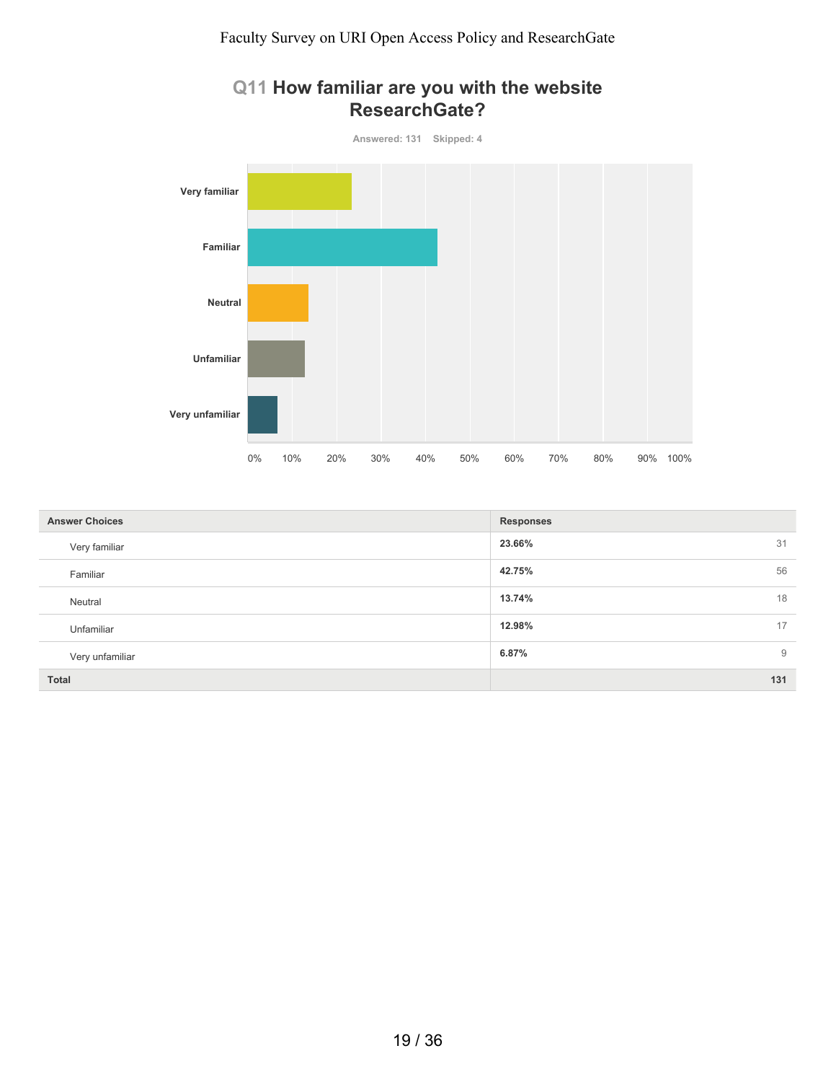

| Q11 How familiar are you with the website |
|-------------------------------------------|
| <b>ResearchGate?</b>                      |

| <b>Answer Choices</b> | <b>Responses</b> |
|-----------------------|------------------|
| Very familiar         | 23.66%<br>31     |
| Familiar              | 56<br>42.75%     |
| Neutral               | 18<br>13.74%     |
| Unfamiliar            | 17<br>12.98%     |
| Very unfamiliar       | 6.87%<br>9       |
| <b>Total</b>          | 131              |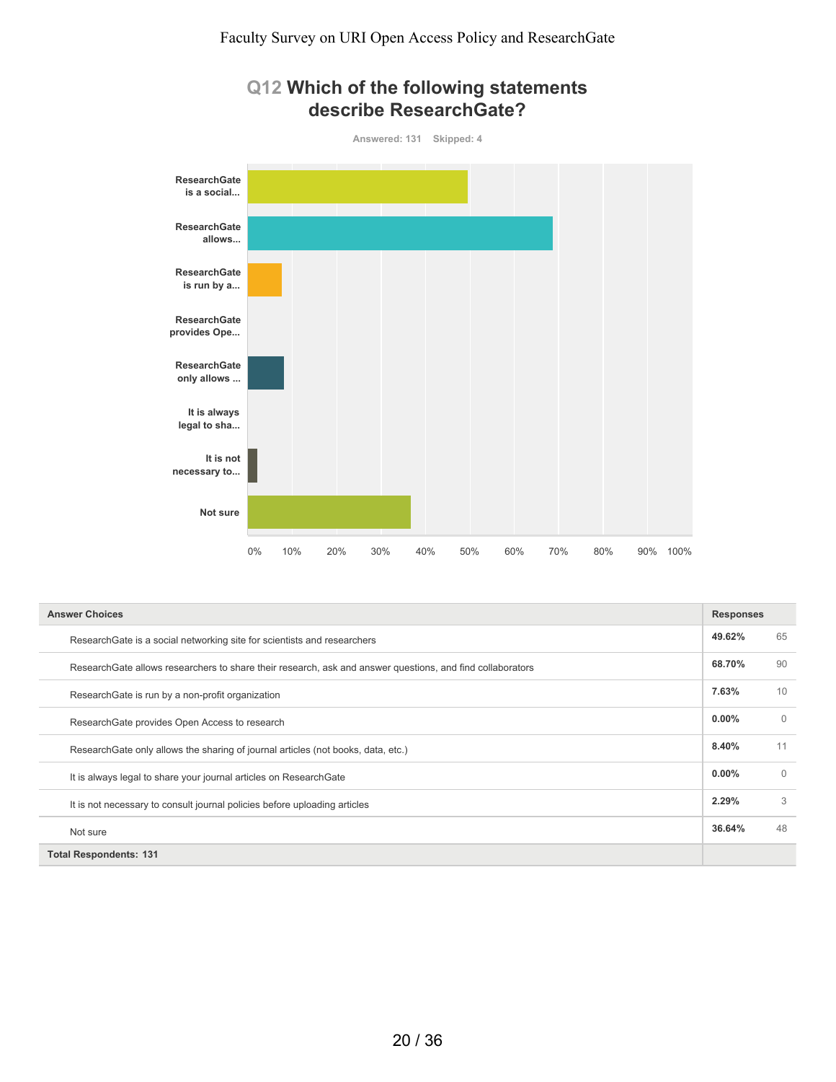

| <b>Answer Choices</b>                                                                                     |        | <b>Responses</b> |  |
|-----------------------------------------------------------------------------------------------------------|--------|------------------|--|
| Research Gate is a social networking site for scientists and researchers                                  |        | 65               |  |
| ResearchGate allows researchers to share their research, ask and answer questions, and find collaborators |        | 90               |  |
| Research Gate is run by a non-profit organization                                                         |        | 10               |  |
| ResearchGate provides Open Access to research                                                             |        | $\Omega$         |  |
| Research Gate only allows the sharing of journal articles (not books, data, etc.)                         | 8.40%  | 11               |  |
| It is always legal to share your journal articles on Research Gate                                        |        | $\Omega$         |  |
| It is not necessary to consult journal policies before uploading articles                                 |        | 3                |  |
| Not sure                                                                                                  | 36.64% | 48               |  |
| <b>Total Respondents: 131</b>                                                                             |        |                  |  |

# **Q12 Which of the following statements**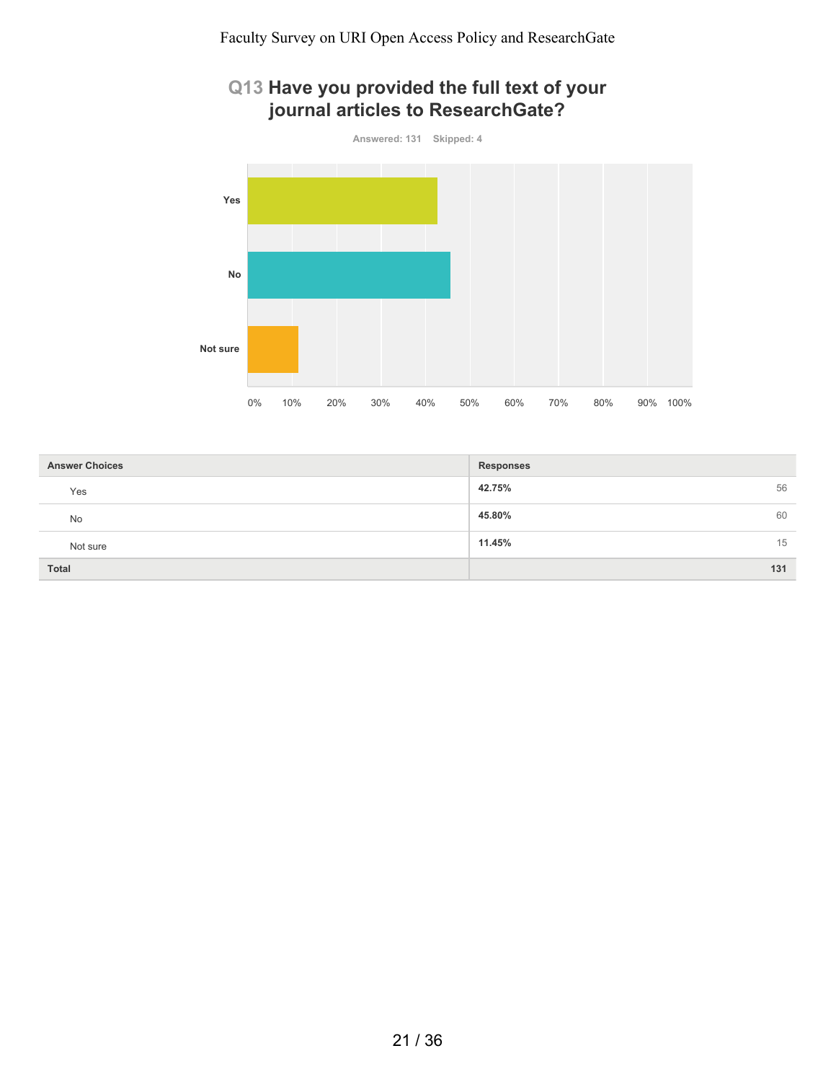## **Q13 Have you provided the full text of your journal articles to ResearchGate?**



| <b>Answer Choices</b> | Responses    |
|-----------------------|--------------|
| Yes                   | 42.75%<br>56 |
| No                    | 45.80%<br>60 |
| Not sure              | 11.45%<br>15 |
| <b>Total</b>          | 131          |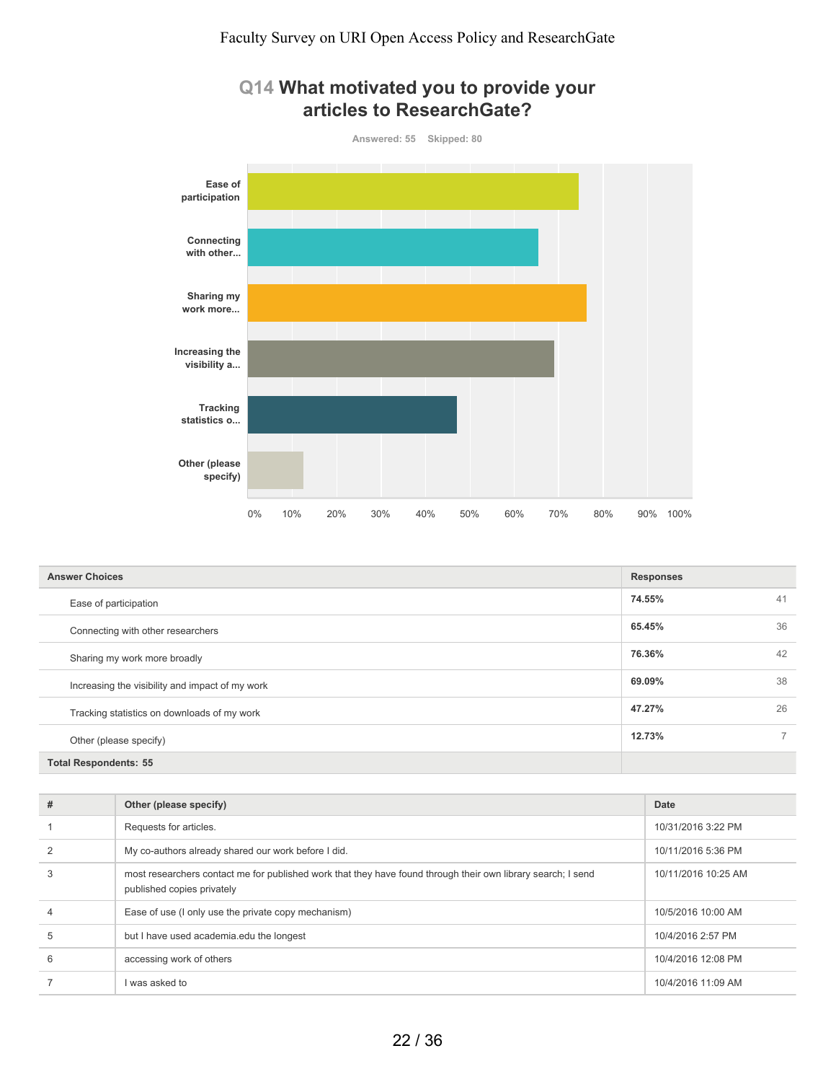

| <b>Answer Choices</b>                           | <b>Responses</b> |                          |
|-------------------------------------------------|------------------|--------------------------|
| Ease of participation                           | 74.55%           | 41                       |
| Connecting with other researchers               | 65.45%           | 36                       |
| Sharing my work more broadly                    | 76.36%           | 42                       |
| Increasing the visibility and impact of my work | 69.09%           | 38                       |
| Tracking statistics on downloads of my work     | 47.27%           | 26                       |
| Other (please specify)                          | 12.73%           | $\overline{\phantom{a}}$ |
| <b>Total Respondents: 55</b>                    |                  |                          |

| # | Other (please specify)                                                                                                                     | Date                |
|---|--------------------------------------------------------------------------------------------------------------------------------------------|---------------------|
|   | Requests for articles.                                                                                                                     | 10/31/2016 3:22 PM  |
|   | My co-authors already shared our work before I did.                                                                                        | 10/11/2016 5:36 PM  |
|   | most researchers contact me for published work that they have found through their own library search; I send<br>published copies privately | 10/11/2016 10:25 AM |
|   | Ease of use (I only use the private copy mechanism)                                                                                        | 10/5/2016 10:00 AM  |
| 5 | but I have used academia.edu the longest                                                                                                   | 10/4/2016 2:57 PM   |
| 6 | accessing work of others                                                                                                                   | 10/4/2016 12:08 PM  |
|   | I was asked to                                                                                                                             | 10/4/2016 11:09 AM  |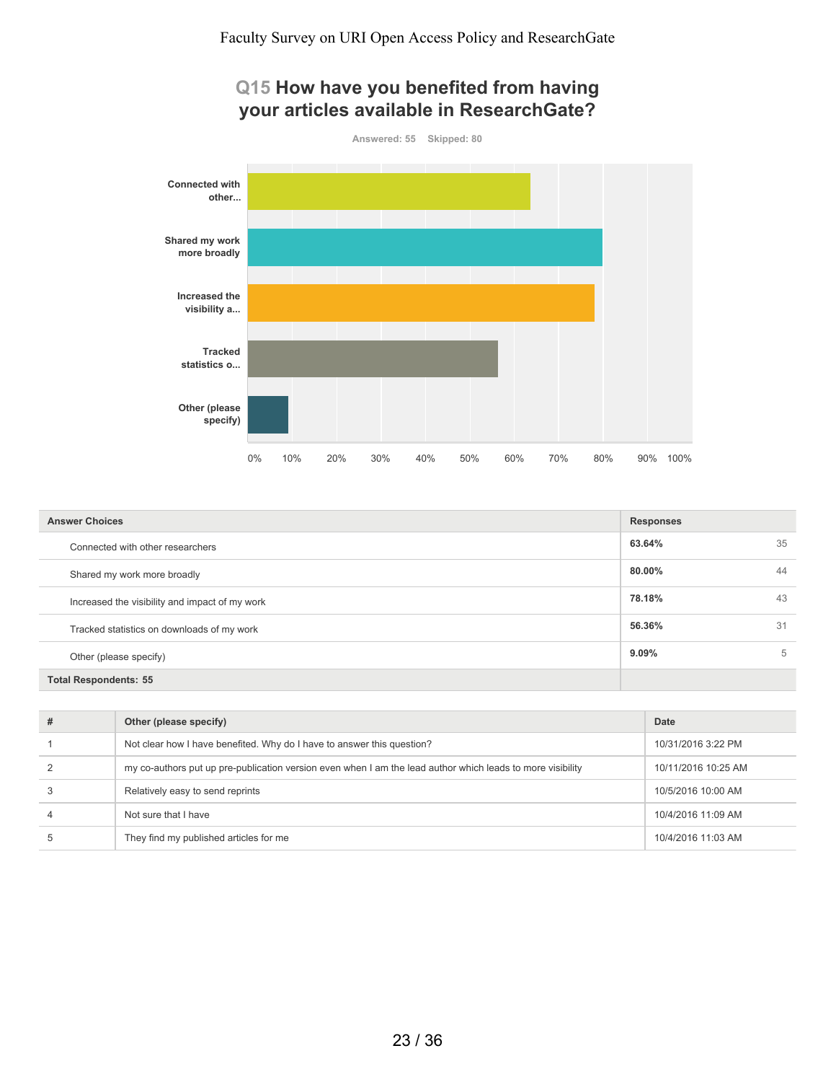## **Q15 How have you benefited from having your articles available in ResearchGate?**



| <b>Answer Choices</b>                          | <b>Responses</b> |
|------------------------------------------------|------------------|
| Connected with other researchers               | 63.64%<br>35     |
| Shared my work more broadly                    | 80.00%<br>44     |
| Increased the visibility and impact of my work | 78.18%<br>43     |
| Tracked statistics on downloads of my work     | 56.36%<br>31     |
| Other (please specify)                         | $9.09\%$<br>5    |
| <b>Total Respondents: 55</b>                   |                  |

| # | Other (please specify)                                                                                     | Date                |
|---|------------------------------------------------------------------------------------------------------------|---------------------|
|   | Not clear how I have benefited. Why do I have to answer this question?                                     | 10/31/2016 3:22 PM  |
|   | my co-authors put up pre-publication version even when I am the lead author which leads to more visibility | 10/11/2016 10:25 AM |
|   | Relatively easy to send reprints                                                                           | 10/5/2016 10:00 AM  |
|   | Not sure that I have                                                                                       | 10/4/2016 11:09 AM  |
|   | They find my published articles for me                                                                     | 10/4/2016 11:03 AM  |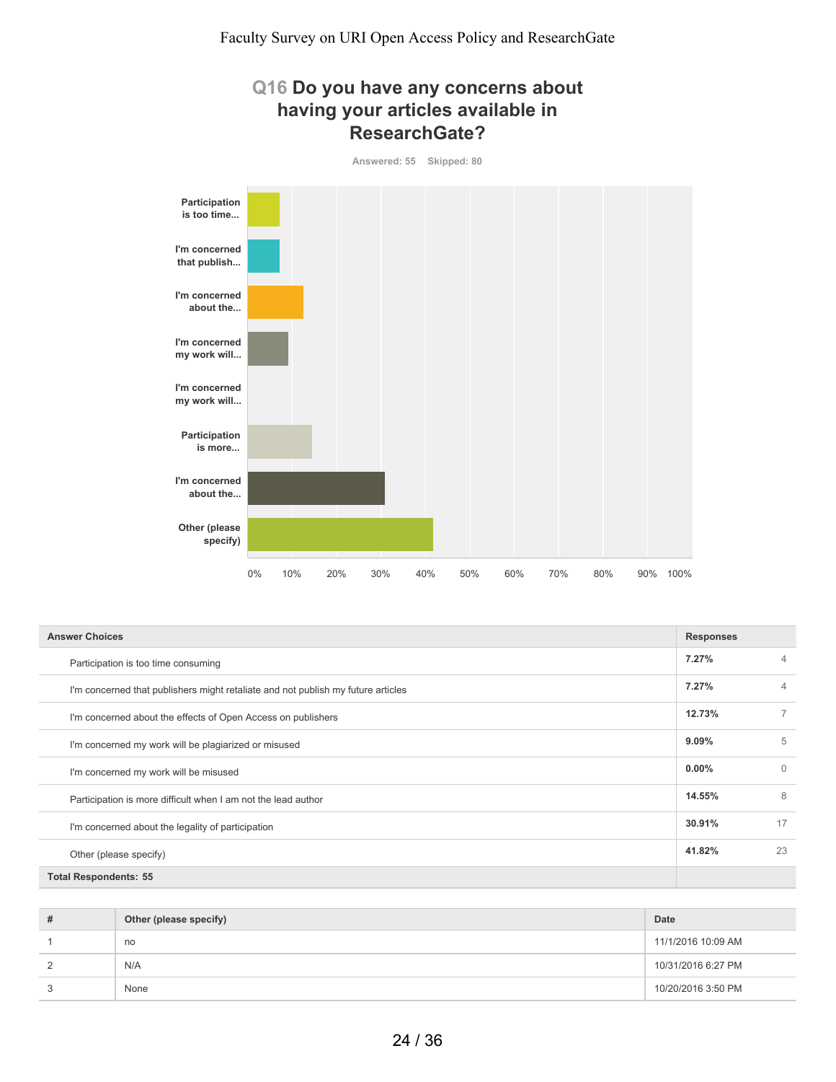### **Q16 Do you have any concerns about having your articles available in ResearchGate?**



| <b>Answer Choices</b>                                                            |          |                |
|----------------------------------------------------------------------------------|----------|----------------|
| Participation is too time consuming                                              | 7.27%    | 4              |
| I'm concerned that publishers might retaliate and not publish my future articles | 7.27%    | $\overline{4}$ |
| I'm concerned about the effects of Open Access on publishers                     | 12.73%   |                |
| I'm concerned my work will be plagiarized or misused                             | 9.09%    | 5              |
| I'm concerned my work will be misused                                            | $0.00\%$ | $\mathbf 0$    |
| Participation is more difficult when I am not the lead author                    | 14.55%   | 8              |
| I'm concerned about the legality of participation                                | 30.91%   | 17             |
| Other (please specify)                                                           | 41.82%   | 23             |
| <b>Total Respondents: 55</b>                                                     |          |                |

| #              | Other (please specify) | Date               |
|----------------|------------------------|--------------------|
|                | no                     | 11/1/2016 10:09 AM |
| $\overline{2}$ | N/A                    | 10/31/2016 6:27 PM |
| 3              | None                   | 10/20/2016 3:50 PM |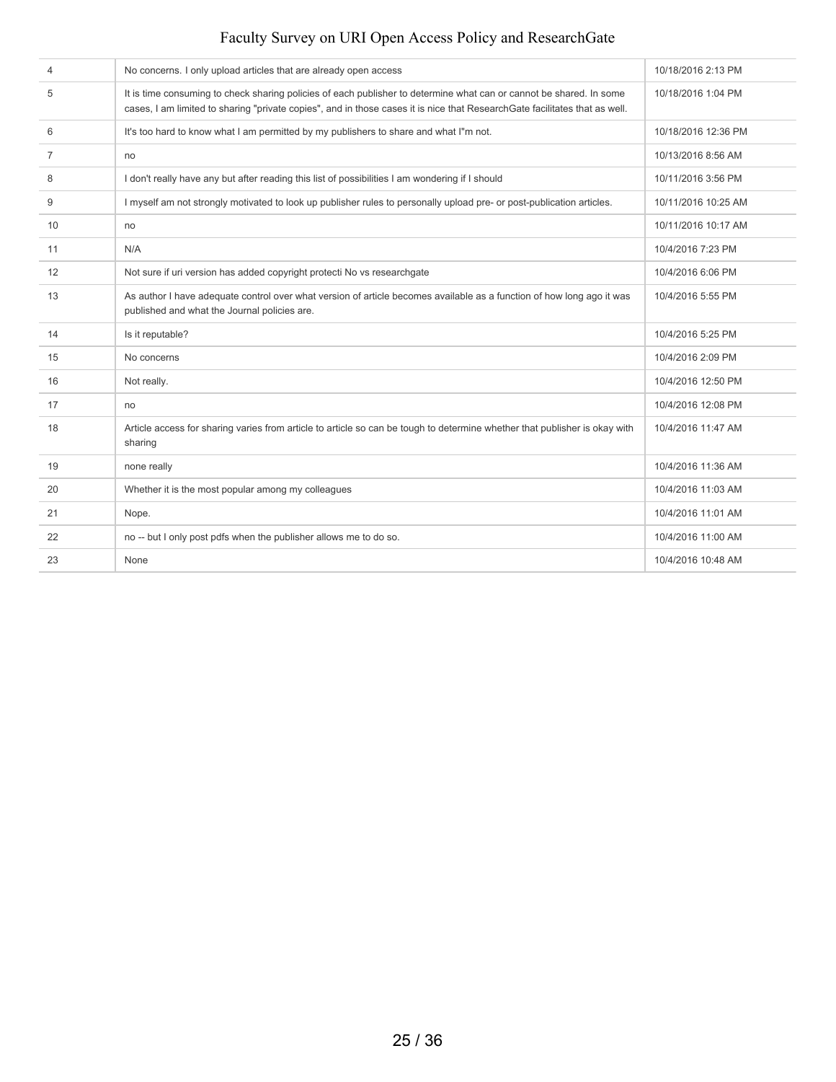| 4                 | No concerns. I only upload articles that are already open access                                                                                                                                                                                  | 10/18/2016 2:13 PM  |
|-------------------|---------------------------------------------------------------------------------------------------------------------------------------------------------------------------------------------------------------------------------------------------|---------------------|
| 5                 | It is time consuming to check sharing policies of each publisher to determine what can or cannot be shared. In some<br>cases, I am limited to sharing "private copies", and in those cases it is nice that ResearchGate facilitates that as well. | 10/18/2016 1:04 PM  |
| 6                 | It's too hard to know what I am permitted by my publishers to share and what I'm not.                                                                                                                                                             | 10/18/2016 12:36 PM |
| 7                 | no                                                                                                                                                                                                                                                | 10/13/2016 8:56 AM  |
| 8                 | I don't really have any but after reading this list of possibilities I am wondering if I should                                                                                                                                                   | 10/11/2016 3:56 PM  |
| 9                 | I myself am not strongly motivated to look up publisher rules to personally upload pre- or post-publication articles.                                                                                                                             | 10/11/2016 10:25 AM |
| 10                | no                                                                                                                                                                                                                                                | 10/11/2016 10:17 AM |
| 11                | N/A                                                                                                                                                                                                                                               | 10/4/2016 7:23 PM   |
| $12 \overline{ }$ | Not sure if uri version has added copyright protecti No vs researchgate                                                                                                                                                                           | 10/4/2016 6:06 PM   |
| 13                | As author I have adequate control over what version of article becomes available as a function of how long ago it was<br>published and what the Journal policies are.                                                                             | 10/4/2016 5:55 PM   |
| 14                | Is it reputable?                                                                                                                                                                                                                                  | 10/4/2016 5:25 PM   |
| 15                | No concerns                                                                                                                                                                                                                                       | 10/4/2016 2:09 PM   |
| 16                | Not really.                                                                                                                                                                                                                                       | 10/4/2016 12:50 PM  |
| 17                | no                                                                                                                                                                                                                                                | 10/4/2016 12:08 PM  |
| 18                | Article access for sharing varies from article to article so can be tough to determine whether that publisher is okay with<br>sharing                                                                                                             | 10/4/2016 11:47 AM  |
| 19                | none really                                                                                                                                                                                                                                       | 10/4/2016 11:36 AM  |
| 20                | Whether it is the most popular among my colleagues                                                                                                                                                                                                | 10/4/2016 11:03 AM  |
| 21                | Nope.                                                                                                                                                                                                                                             | 10/4/2016 11:01 AM  |
| 22                | no -- but I only post pdfs when the publisher allows me to do so.                                                                                                                                                                                 | 10/4/2016 11:00 AM  |
| 23                | None                                                                                                                                                                                                                                              | 10/4/2016 10:48 AM  |
|                   |                                                                                                                                                                                                                                                   |                     |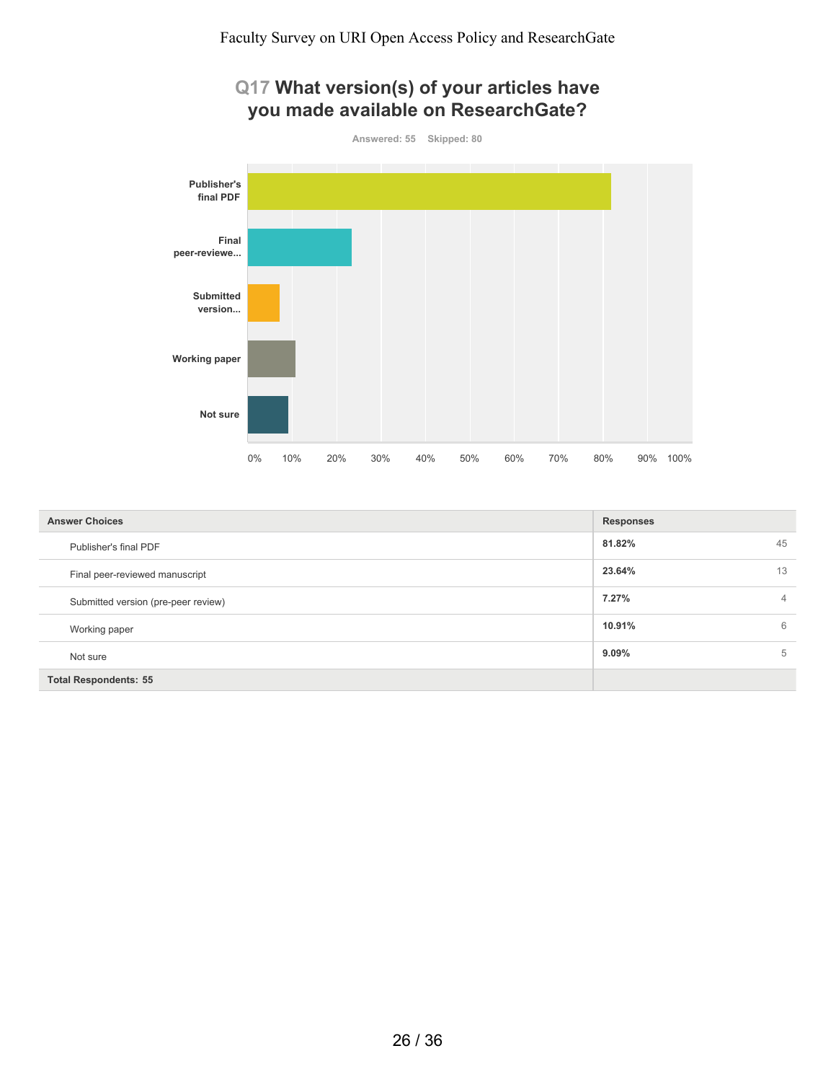## **Q17 What version(s) of your articles have you made available on ResearchGate?**



| <b>Answer Choices</b>               | <b>Responses</b>        |
|-------------------------------------|-------------------------|
| Publisher's final PDF               | 45<br>81.82%            |
| Final peer-reviewed manuscript      | 23.64%<br>13            |
| Submitted version (pre-peer review) | 7.27%<br>$\overline{4}$ |
| Working paper                       | 6<br>10.91%             |
| Not sure                            | $9.09\%$<br>5           |
| <b>Total Respondents: 55</b>        |                         |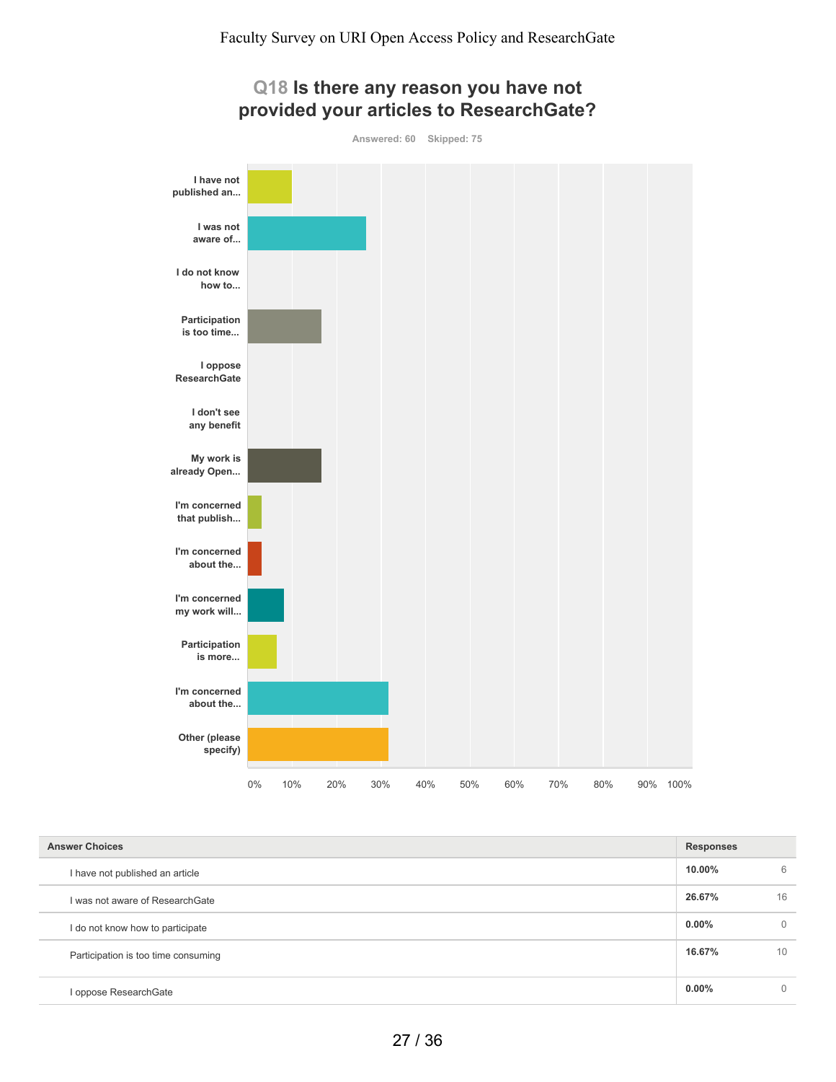

| <b>Answer Choices</b>               |          | <b>Responses</b> |  |
|-------------------------------------|----------|------------------|--|
| I have not published an article     | 10.00%   | 6                |  |
| I was not aware of ResearchGate     | 26.67%   | 16               |  |
| I do not know how to participate    | $0.00\%$ | $\overline{0}$   |  |
| Participation is too time consuming | 16.67%   | 10               |  |
| I oppose ResearchGate               | $0.00\%$ | $\Omega$         |  |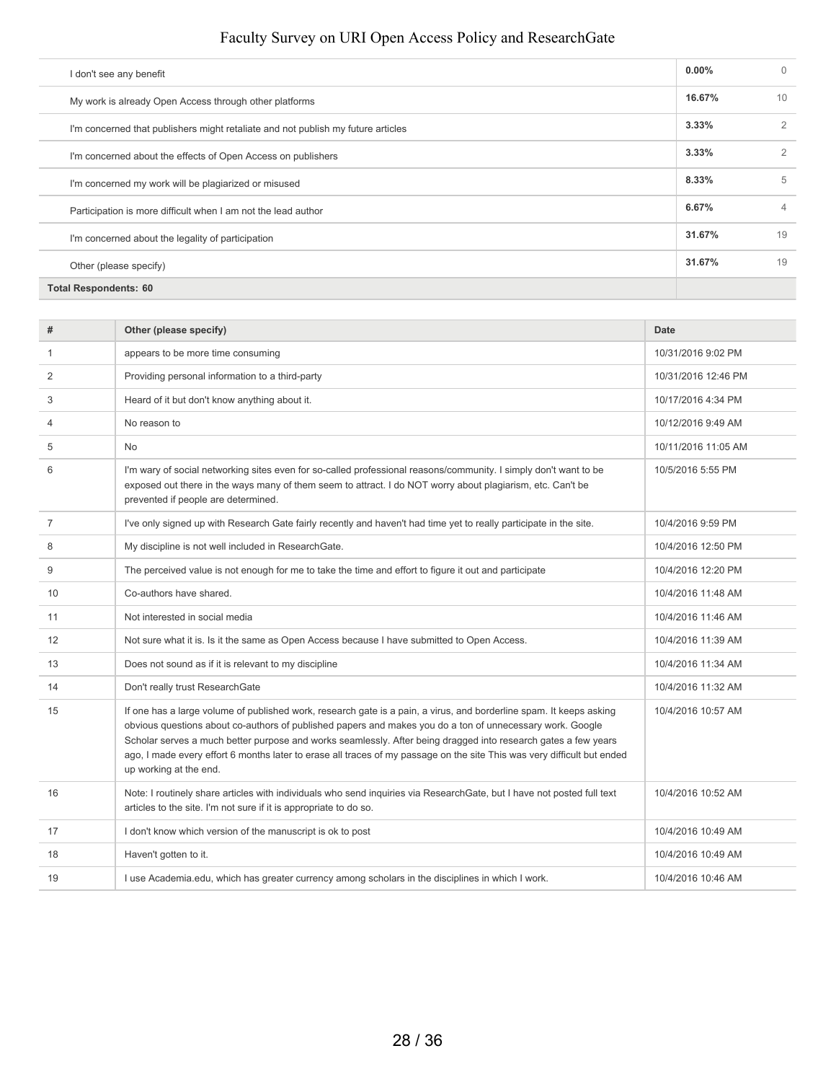| I don't see any benefit                                                          | $0.00\%$ | $\Omega$       |
|----------------------------------------------------------------------------------|----------|----------------|
| My work is already Open Access through other platforms                           | 16.67%   | 10             |
| I'm concerned that publishers might retaliate and not publish my future articles | 3.33%    | $\overline{2}$ |
| I'm concerned about the effects of Open Access on publishers                     | 3.33%    | 2              |
| I'm concerned my work will be plagiarized or misused                             | 8.33%    | 5              |
| Participation is more difficult when I am not the lead author                    | 6.67%    | $\overline{4}$ |
| I'm concerned about the legality of participation                                | 31.67%   | 19             |
| Other (please specify)                                                           | 31.67%   | 19             |
| <b>Total Respondents: 60</b>                                                     |          |                |

| #              | Other (please specify)                                                                                                                                                                                                                                                                                                                                                                                                                                                                                  | <b>Date</b>         |
|----------------|---------------------------------------------------------------------------------------------------------------------------------------------------------------------------------------------------------------------------------------------------------------------------------------------------------------------------------------------------------------------------------------------------------------------------------------------------------------------------------------------------------|---------------------|
| 1              | appears to be more time consuming                                                                                                                                                                                                                                                                                                                                                                                                                                                                       | 10/31/2016 9:02 PM  |
| 2              | Providing personal information to a third-party                                                                                                                                                                                                                                                                                                                                                                                                                                                         | 10/31/2016 12:46 PM |
| 3              | Heard of it but don't know anything about it.                                                                                                                                                                                                                                                                                                                                                                                                                                                           | 10/17/2016 4:34 PM  |
| $\overline{4}$ | No reason to                                                                                                                                                                                                                                                                                                                                                                                                                                                                                            | 10/12/2016 9:49 AM  |
| 5              | <b>No</b>                                                                                                                                                                                                                                                                                                                                                                                                                                                                                               | 10/11/2016 11:05 AM |
| 6              | I'm wary of social networking sites even for so-called professional reasons/community. I simply don't want to be<br>exposed out there in the ways many of them seem to attract. I do NOT worry about plagiarism, etc. Can't be<br>prevented if people are determined.                                                                                                                                                                                                                                   | 10/5/2016 5:55 PM   |
| $\overline{7}$ | I've only signed up with Research Gate fairly recently and haven't had time yet to really participate in the site.                                                                                                                                                                                                                                                                                                                                                                                      | 10/4/2016 9:59 PM   |
| 8              | My discipline is not well included in ResearchGate.                                                                                                                                                                                                                                                                                                                                                                                                                                                     | 10/4/2016 12:50 PM  |
| 9              | The perceived value is not enough for me to take the time and effort to figure it out and participate                                                                                                                                                                                                                                                                                                                                                                                                   | 10/4/2016 12:20 PM  |
| 10             | Co-authors have shared.                                                                                                                                                                                                                                                                                                                                                                                                                                                                                 | 10/4/2016 11:48 AM  |
| 11             | Not interested in social media                                                                                                                                                                                                                                                                                                                                                                                                                                                                          | 10/4/2016 11:46 AM  |
| 12             | Not sure what it is. Is it the same as Open Access because I have submitted to Open Access.                                                                                                                                                                                                                                                                                                                                                                                                             | 10/4/2016 11:39 AM  |
| 13             | Does not sound as if it is relevant to my discipline                                                                                                                                                                                                                                                                                                                                                                                                                                                    | 10/4/2016 11:34 AM  |
| 14             | Don't really trust ResearchGate                                                                                                                                                                                                                                                                                                                                                                                                                                                                         | 10/4/2016 11:32 AM  |
| 15             | If one has a large volume of published work, research gate is a pain, a virus, and borderline spam. It keeps asking<br>obvious questions about co-authors of published papers and makes you do a ton of unnecessary work. Google<br>Scholar serves a much better purpose and works seamlessly. After being dragged into research gates a few years<br>ago, I made every effort 6 months later to erase all traces of my passage on the site This was very difficult but ended<br>up working at the end. | 10/4/2016 10:57 AM  |
| 16             | Note: I routinely share articles with individuals who send inquiries via ResearchGate, but I have not posted full text<br>articles to the site. I'm not sure if it is appropriate to do so.                                                                                                                                                                                                                                                                                                             | 10/4/2016 10:52 AM  |
| 17             | I don't know which version of the manuscript is ok to post                                                                                                                                                                                                                                                                                                                                                                                                                                              | 10/4/2016 10:49 AM  |
| 18             | Haven't gotten to it.                                                                                                                                                                                                                                                                                                                                                                                                                                                                                   | 10/4/2016 10:49 AM  |
| 19             | I use Academia.edu, which has greater currency among scholars in the disciplines in which I work.                                                                                                                                                                                                                                                                                                                                                                                                       | 10/4/2016 10:46 AM  |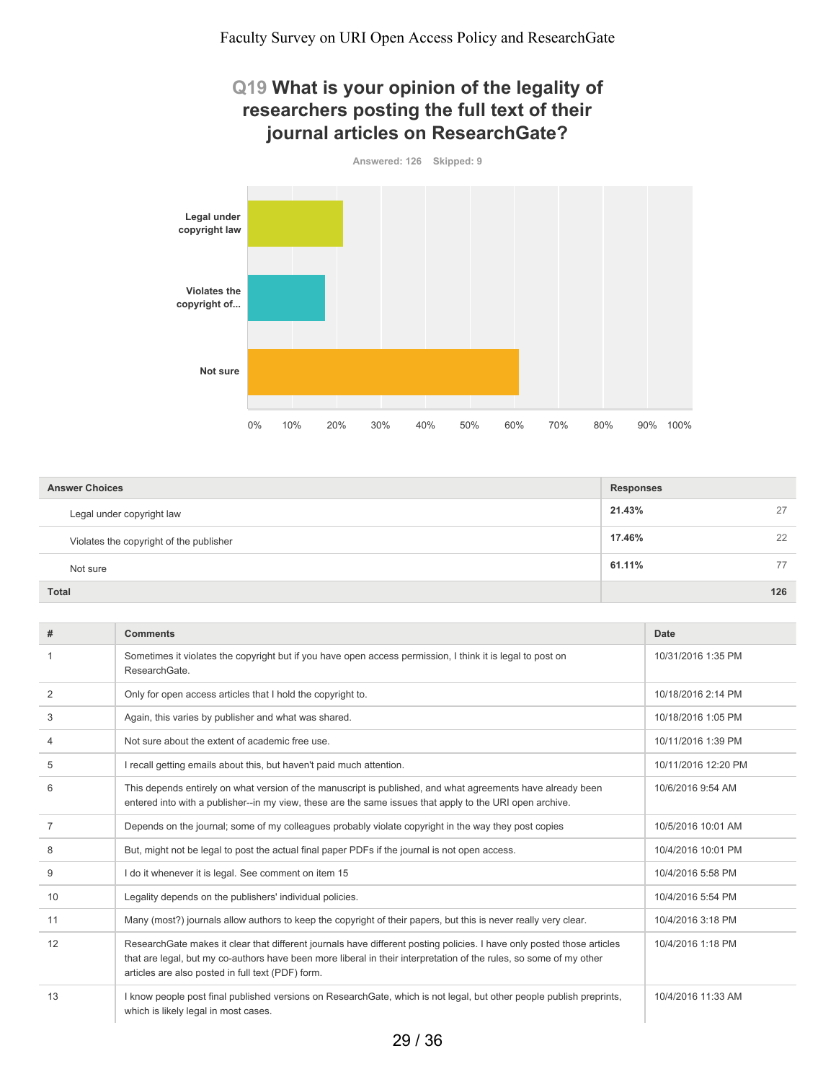### **Q19 What is your opinion of the legality of researchers posting the full text of their journal articles on ResearchGate?**



| <b>Answer Choices</b>                   | <b>Responses</b> |     |
|-----------------------------------------|------------------|-----|
| Legal under copyright law               | 21.43%           | 27  |
| Violates the copyright of the publisher | 17.46%           | 22  |
| Not sure                                | 61.11%           | 77  |
| <b>Total</b>                            |                  | 126 |

| #              | <b>Comments</b>                                                                                                                                                                                                                                                                                   | Date                |
|----------------|---------------------------------------------------------------------------------------------------------------------------------------------------------------------------------------------------------------------------------------------------------------------------------------------------|---------------------|
|                | Sometimes it violates the copyright but if you have open access permission, I think it is legal to post on<br>ResearchGate.                                                                                                                                                                       | 10/31/2016 1:35 PM  |
| 2              | Only for open access articles that I hold the copyright to.                                                                                                                                                                                                                                       | 10/18/2016 2:14 PM  |
| 3              | Again, this varies by publisher and what was shared.                                                                                                                                                                                                                                              | 10/18/2016 1:05 PM  |
| 4              | Not sure about the extent of academic free use.                                                                                                                                                                                                                                                   | 10/11/2016 1:39 PM  |
| 5              | I recall getting emails about this, but haven't paid much attention.                                                                                                                                                                                                                              | 10/11/2016 12:20 PM |
| 6              | This depends entirely on what version of the manuscript is published, and what agreements have already been<br>entered into with a publisher--in my view, these are the same issues that apply to the URI open archive.                                                                           | 10/6/2016 9:54 AM   |
| $\overline{7}$ | Depends on the journal; some of my colleagues probably violate copyright in the way they post copies                                                                                                                                                                                              | 10/5/2016 10:01 AM  |
| 8              | But, might not be legal to post the actual final paper PDFs if the journal is not open access.                                                                                                                                                                                                    | 10/4/2016 10:01 PM  |
| 9              | I do it whenever it is legal. See comment on item 15                                                                                                                                                                                                                                              | 10/4/2016 5:58 PM   |
| 10             | Legality depends on the publishers' individual policies.                                                                                                                                                                                                                                          | 10/4/2016 5:54 PM   |
| 11             | Many (most?) journals allow authors to keep the copyright of their papers, but this is never really very clear.                                                                                                                                                                                   | 10/4/2016 3:18 PM   |
| 12             | ResearchGate makes it clear that different journals have different posting policies. I have only posted those articles<br>that are legal, but my co-authors have been more liberal in their interpretation of the rules, so some of my other<br>articles are also posted in full text (PDF) form. | 10/4/2016 1:18 PM   |
| 13             | I know people post final published versions on ResearchGate, which is not legal, but other people publish preprints,<br>which is likely legal in most cases.                                                                                                                                      | 10/4/2016 11:33 AM  |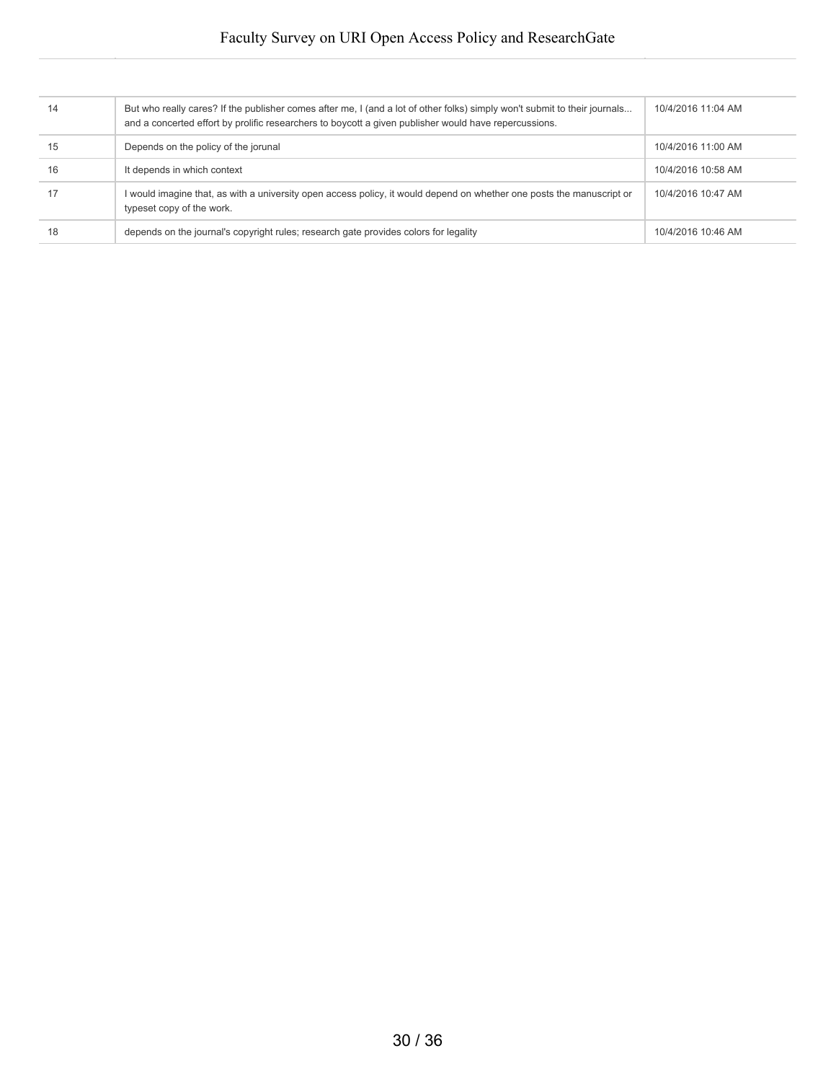| 14 | But who really cares? If the publisher comes after me, I (and a lot of other folks) simply won't submit to their journals<br>and a concerted effort by prolific researchers to boycott a given publisher would have repercussions. | 10/4/2016 11:04 AM |
|----|------------------------------------------------------------------------------------------------------------------------------------------------------------------------------------------------------------------------------------|--------------------|
| 15 | Depends on the policy of the jorunal                                                                                                                                                                                               | 10/4/2016 11:00 AM |
| 16 | It depends in which context                                                                                                                                                                                                        | 10/4/2016 10:58 AM |
| 17 | would imagine that, as with a university open access policy, it would depend on whether one posts the manuscript or<br>typeset copy of the work.                                                                                   | 10/4/2016 10:47 AM |
| 18 | depends on the journal's copyright rules; research gate provides colors for legality                                                                                                                                               | 10/4/2016 10:46 AM |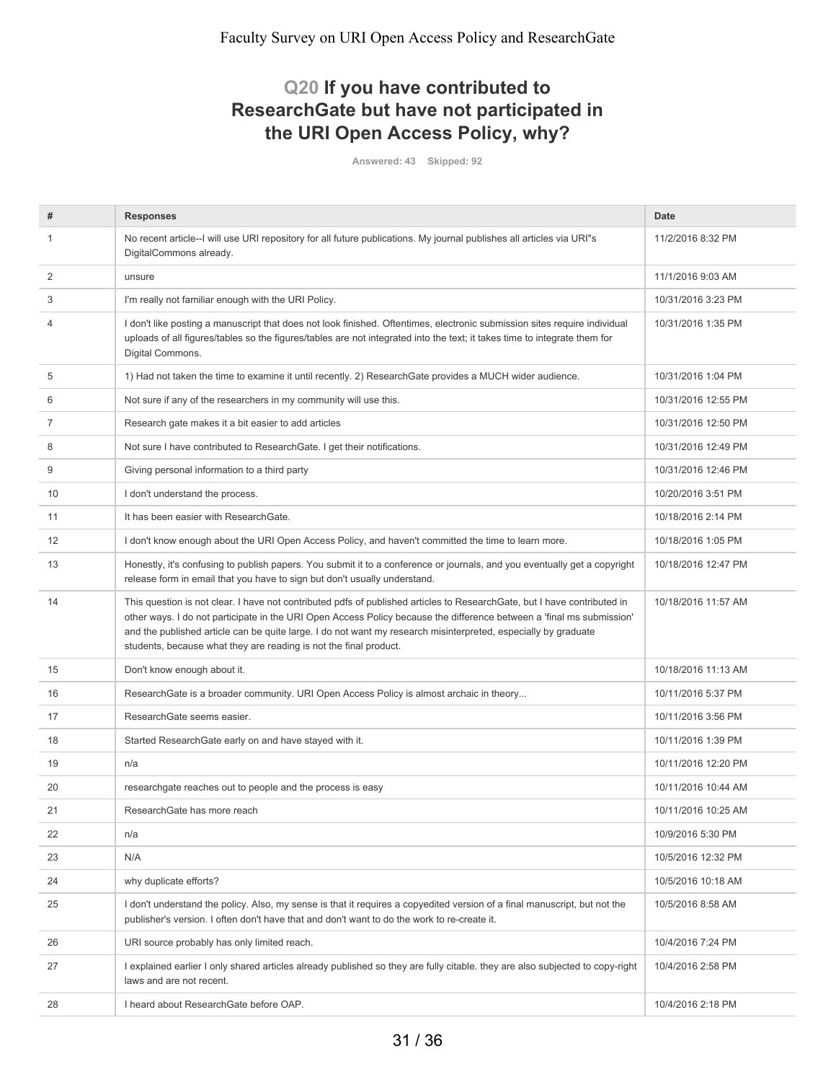## **Q20 If you have contributed to ResearchGate but have not participated in the URI Open Access Policy, why?**

**Answered: 43 Skipped: 92**

| #  | <b>Responses</b>                                                                                                                                                                                                                                                                                                                                                                                                                         | <b>Date</b>         |
|----|------------------------------------------------------------------------------------------------------------------------------------------------------------------------------------------------------------------------------------------------------------------------------------------------------------------------------------------------------------------------------------------------------------------------------------------|---------------------|
| 1  | No recent article--I will use URI repository for all future publications. My journal publishes all articles via URI"s<br>DigitalCommons already.                                                                                                                                                                                                                                                                                         | 11/2/2016 8:32 PM   |
| 2  | unsure                                                                                                                                                                                                                                                                                                                                                                                                                                   | 11/1/2016 9:03 AM   |
| 3  | I'm really not familiar enough with the URI Policy.                                                                                                                                                                                                                                                                                                                                                                                      | 10/31/2016 3:23 PM  |
| 4  | I don't like posting a manuscript that does not look finished. Oftentimes, electronic submission sites require individual<br>uploads of all figures/tables so the figures/tables are not integrated into the text; it takes time to integrate them for<br>Digital Commons.                                                                                                                                                               | 10/31/2016 1:35 PM  |
| 5  | 1) Had not taken the time to examine it until recently. 2) ResearchGate provides a MUCH wider audience.                                                                                                                                                                                                                                                                                                                                  | 10/31/2016 1:04 PM  |
| 6  | Not sure if any of the researchers in my community will use this.                                                                                                                                                                                                                                                                                                                                                                        | 10/31/2016 12:55 PM |
| 7  | Research gate makes it a bit easier to add articles                                                                                                                                                                                                                                                                                                                                                                                      | 10/31/2016 12:50 PM |
| 8  | Not sure I have contributed to Research Gate. I get their notifications.                                                                                                                                                                                                                                                                                                                                                                 | 10/31/2016 12:49 PM |
| 9  | Giving personal information to a third party                                                                                                                                                                                                                                                                                                                                                                                             | 10/31/2016 12:46 PM |
| 10 | I don't understand the process.                                                                                                                                                                                                                                                                                                                                                                                                          | 10/20/2016 3:51 PM  |
| 11 | It has been easier with ResearchGate.                                                                                                                                                                                                                                                                                                                                                                                                    | 10/18/2016 2:14 PM  |
| 12 | I don't know enough about the URI Open Access Policy, and haven't committed the time to learn more.                                                                                                                                                                                                                                                                                                                                      | 10/18/2016 1:05 PM  |
| 13 | Honestly, it's confusing to publish papers. You submit it to a conference or journals, and you eventually get a copyright<br>release form in email that you have to sign but don't usually understand.                                                                                                                                                                                                                                   | 10/18/2016 12:47 PM |
| 14 | This question is not clear. I have not contributed pdfs of published articles to ResearchGate, but I have contributed in<br>other ways. I do not participate in the URI Open Access Policy because the difference between a 'final ms submission'<br>and the published article can be quite large. I do not want my research misinterpreted, especially by graduate<br>students, because what they are reading is not the final product. | 10/18/2016 11:57 AM |
| 15 | Don't know enough about it.                                                                                                                                                                                                                                                                                                                                                                                                              | 10/18/2016 11:13 AM |
| 16 | ResearchGate is a broader community. URI Open Access Policy is almost archaic in theory                                                                                                                                                                                                                                                                                                                                                  | 10/11/2016 5:37 PM  |
| 17 | ResearchGate seems easier.                                                                                                                                                                                                                                                                                                                                                                                                               | 10/11/2016 3:56 PM  |
| 18 | Started ResearchGate early on and have stayed with it.                                                                                                                                                                                                                                                                                                                                                                                   | 10/11/2016 1:39 PM  |
| 19 | n/a                                                                                                                                                                                                                                                                                                                                                                                                                                      | 10/11/2016 12:20 PM |
| 20 | researchgate reaches out to people and the process is easy                                                                                                                                                                                                                                                                                                                                                                               | 10/11/2016 10:44 AM |
| 21 | ResearchGate has more reach                                                                                                                                                                                                                                                                                                                                                                                                              | 10/11/2016 10:25 AM |
| 22 | n/a                                                                                                                                                                                                                                                                                                                                                                                                                                      | 10/9/2016 5:30 PM   |
| 23 | N/A                                                                                                                                                                                                                                                                                                                                                                                                                                      | 10/5/2016 12:32 PM  |
| 24 | why duplicate efforts?                                                                                                                                                                                                                                                                                                                                                                                                                   | 10/5/2016 10:18 AM  |
| 25 | I don't understand the policy. Also, my sense is that it requires a copyedited version of a final manuscript, but not the<br>publisher's version. I often don't have that and don't want to do the work to re-create it.                                                                                                                                                                                                                 | 10/5/2016 8:58 AM   |
| 26 | URI source probably has only limited reach.                                                                                                                                                                                                                                                                                                                                                                                              | 10/4/2016 7:24 PM   |
| 27 | I explained earlier I only shared articles already published so they are fully citable. they are also subjected to copy-right<br>laws and are not recent.                                                                                                                                                                                                                                                                                | 10/4/2016 2:58 PM   |
| 28 | I heard about Research Gate before OAP.                                                                                                                                                                                                                                                                                                                                                                                                  | 10/4/2016 2:18 PM   |
|    |                                                                                                                                                                                                                                                                                                                                                                                                                                          |                     |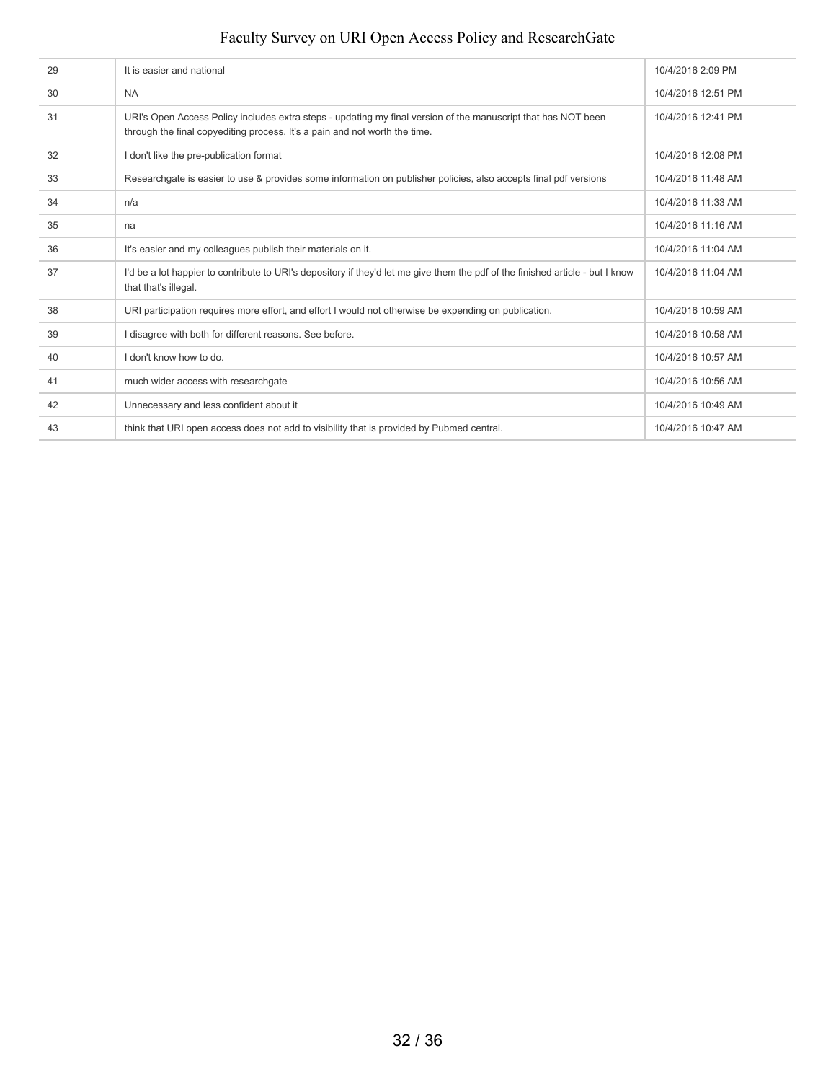| 29 | It is easier and national                                                                                                                                                                   | 10/4/2016 2:09 PM  |
|----|---------------------------------------------------------------------------------------------------------------------------------------------------------------------------------------------|--------------------|
| 30 | <b>NA</b>                                                                                                                                                                                   | 10/4/2016 12:51 PM |
| 31 | URI's Open Access Policy includes extra steps - updating my final version of the manuscript that has NOT been<br>through the final copyediting process. It's a pain and not worth the time. | 10/4/2016 12:41 PM |
| 32 | I don't like the pre-publication format                                                                                                                                                     | 10/4/2016 12:08 PM |
| 33 | Researchgate is easier to use & provides some information on publisher policies, also accepts final pdf versions                                                                            | 10/4/2016 11:48 AM |
| 34 | n/a                                                                                                                                                                                         | 10/4/2016 11:33 AM |
| 35 | na                                                                                                                                                                                          | 10/4/2016 11:16 AM |
| 36 | It's easier and my colleagues publish their materials on it.                                                                                                                                | 10/4/2016 11:04 AM |
| 37 | I'd be a lot happier to contribute to URI's depository if they'd let me give them the pdf of the finished article - but I know<br>that that's illegal.                                      | 10/4/2016 11:04 AM |
| 38 | URI participation requires more effort, and effort I would not otherwise be expending on publication.                                                                                       | 10/4/2016 10:59 AM |
| 39 | I disagree with both for different reasons. See before.                                                                                                                                     | 10/4/2016 10:58 AM |
| 40 | I don't know how to do.                                                                                                                                                                     | 10/4/2016 10:57 AM |
| 41 | much wider access with researchgate                                                                                                                                                         | 10/4/2016 10:56 AM |
| 42 | Unnecessary and less confident about it                                                                                                                                                     | 10/4/2016 10:49 AM |
| 43 | think that URI open access does not add to visibility that is provided by Pubmed central.                                                                                                   | 10/4/2016 10:47 AM |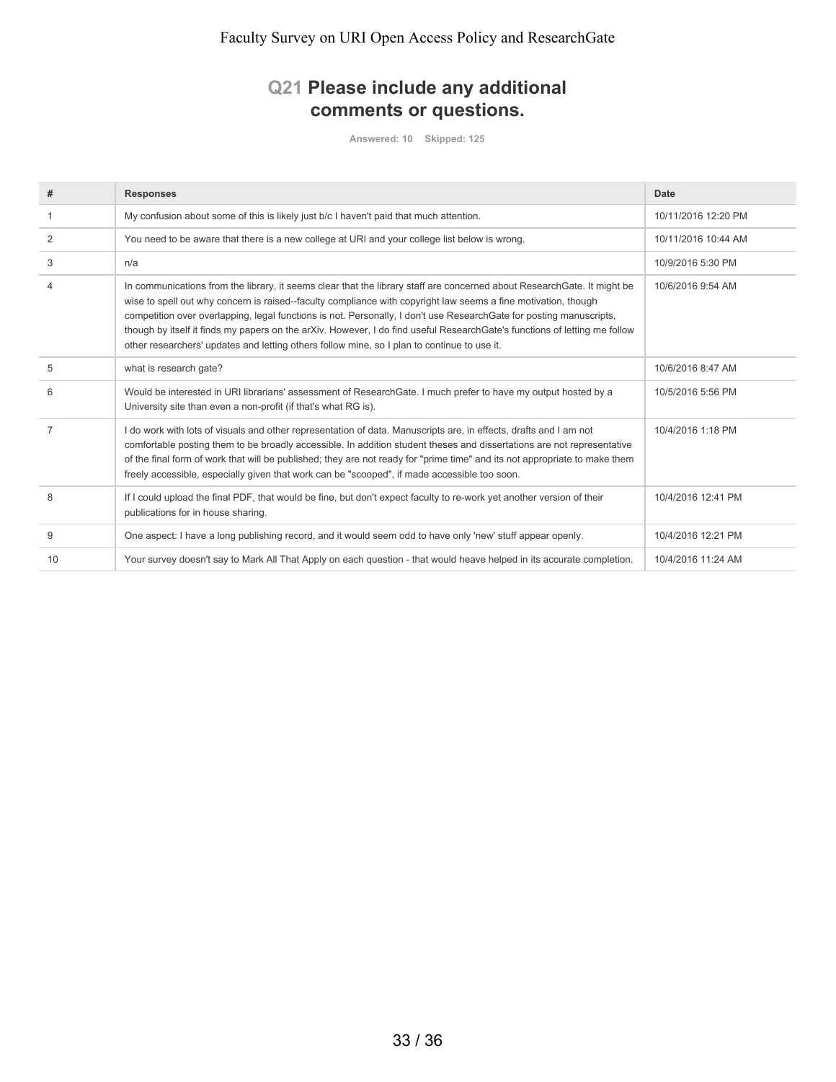## **Q21 Please include any additional comments or questions.**

**Answered: 10 Skipped: 125**

| #              | <b>Responses</b>                                                                                                                                                                                                                                                                                                                                                                                                                                                                                                                                                                             | <b>Date</b>         |
|----------------|----------------------------------------------------------------------------------------------------------------------------------------------------------------------------------------------------------------------------------------------------------------------------------------------------------------------------------------------------------------------------------------------------------------------------------------------------------------------------------------------------------------------------------------------------------------------------------------------|---------------------|
|                | My confusion about some of this is likely just b/c I haven't paid that much attention.                                                                                                                                                                                                                                                                                                                                                                                                                                                                                                       | 10/11/2016 12:20 PM |
| 2              | You need to be aware that there is a new college at URI and your college list below is wrong.                                                                                                                                                                                                                                                                                                                                                                                                                                                                                                | 10/11/2016 10:44 AM |
| 3              | n/a                                                                                                                                                                                                                                                                                                                                                                                                                                                                                                                                                                                          | 10/9/2016 5:30 PM   |
| 4              | In communications from the library, it seems clear that the library staff are concerned about ResearchGate. It might be<br>wise to spell out why concern is raised--faculty compliance with copyright law seems a fine motivation, though<br>competition over overlapping, legal functions is not. Personally, I don't use ResearchGate for posting manuscripts,<br>though by itself it finds my papers on the arXiv. However, I do find useful ResearchGate's functions of letting me follow<br>other researchers' updates and letting others follow mine, so I plan to continue to use it. | 10/6/2016 9:54 AM   |
| 5              | what is research gate?                                                                                                                                                                                                                                                                                                                                                                                                                                                                                                                                                                       | 10/6/2016 8:47 AM   |
| 6              | Would be interested in URI librarians' assessment of ResearchGate. I much prefer to have my output hosted by a<br>University site than even a non-profit (if that's what RG is).                                                                                                                                                                                                                                                                                                                                                                                                             | 10/5/2016 5:56 PM   |
| $\overline{7}$ | I do work with lots of visuals and other representation of data. Manuscripts are, in effects, drafts and I am not<br>comfortable posting them to be broadly accessible. In addition student theses and dissertations are not representative<br>of the final form of work that will be published; they are not ready for "prime time" and its not appropriate to make them<br>freely accessible, especially given that work can be "scooped", if made accessible too soon.                                                                                                                    | 10/4/2016 1:18 PM   |
| 8              | If I could upload the final PDF, that would be fine, but don't expect faculty to re-work yet another version of their<br>publications for in house sharing.                                                                                                                                                                                                                                                                                                                                                                                                                                  | 10/4/2016 12:41 PM  |
| 9              | One aspect: I have a long publishing record, and it would seem odd to have only 'new' stuff appear openly.                                                                                                                                                                                                                                                                                                                                                                                                                                                                                   | 10/4/2016 12:21 PM  |
| 10             | Your survey doesn't say to Mark All That Apply on each question - that would heave helped in its accurate completion.                                                                                                                                                                                                                                                                                                                                                                                                                                                                        | 10/4/2016 11:24 AM  |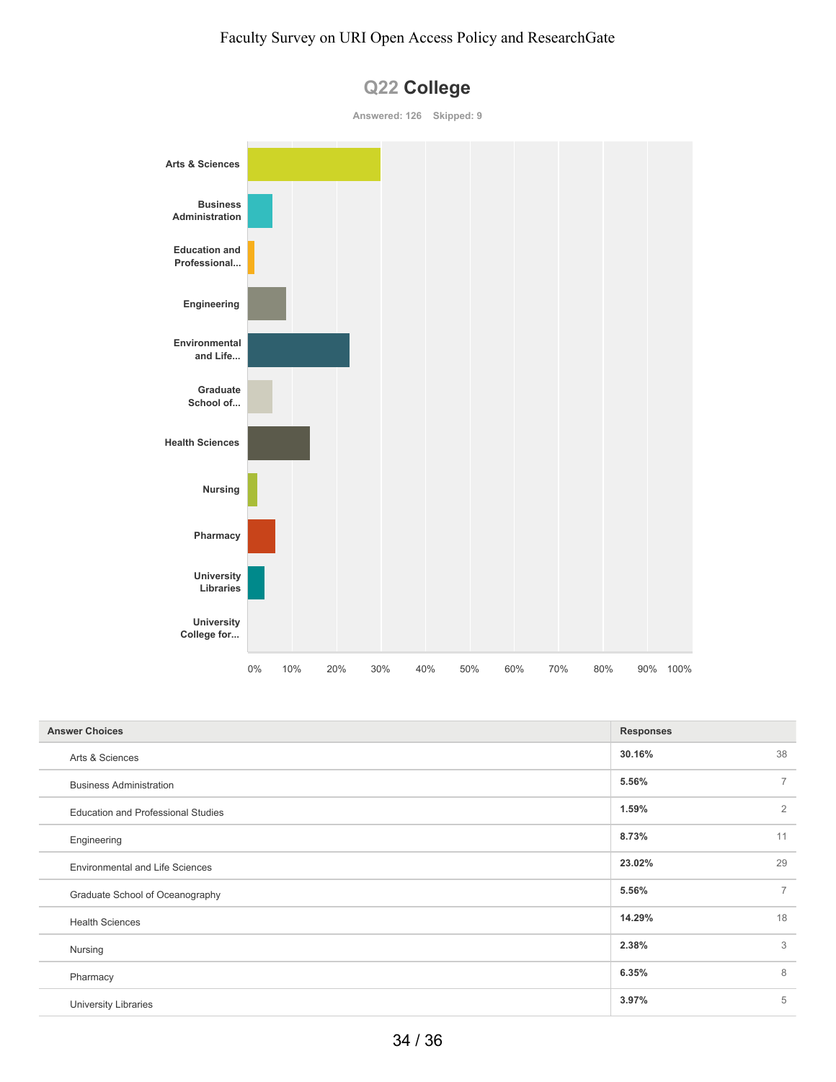

|  |  | <b>Q22 College</b> |
|--|--|--------------------|
|--|--|--------------------|

| <b>Answer Choices</b>                     | <b>Responses</b>        |
|-------------------------------------------|-------------------------|
| Arts & Sciences                           | 38<br>30.16%            |
| <b>Business Administration</b>            | $\overline{7}$<br>5.56% |
| <b>Education and Professional Studies</b> | $\overline{2}$<br>1.59% |
| Engineering                               | 11<br>8.73%             |
| <b>Environmental and Life Sciences</b>    | 29<br>23.02%            |
| Graduate School of Oceanography           | $\overline{7}$<br>5.56% |
| <b>Health Sciences</b>                    | 18<br>14.29%            |
| Nursing                                   | 3<br>2.38%              |
| Pharmacy                                  | 8<br>6.35%              |
| <b>University Libraries</b>               | 5<br>3.97%              |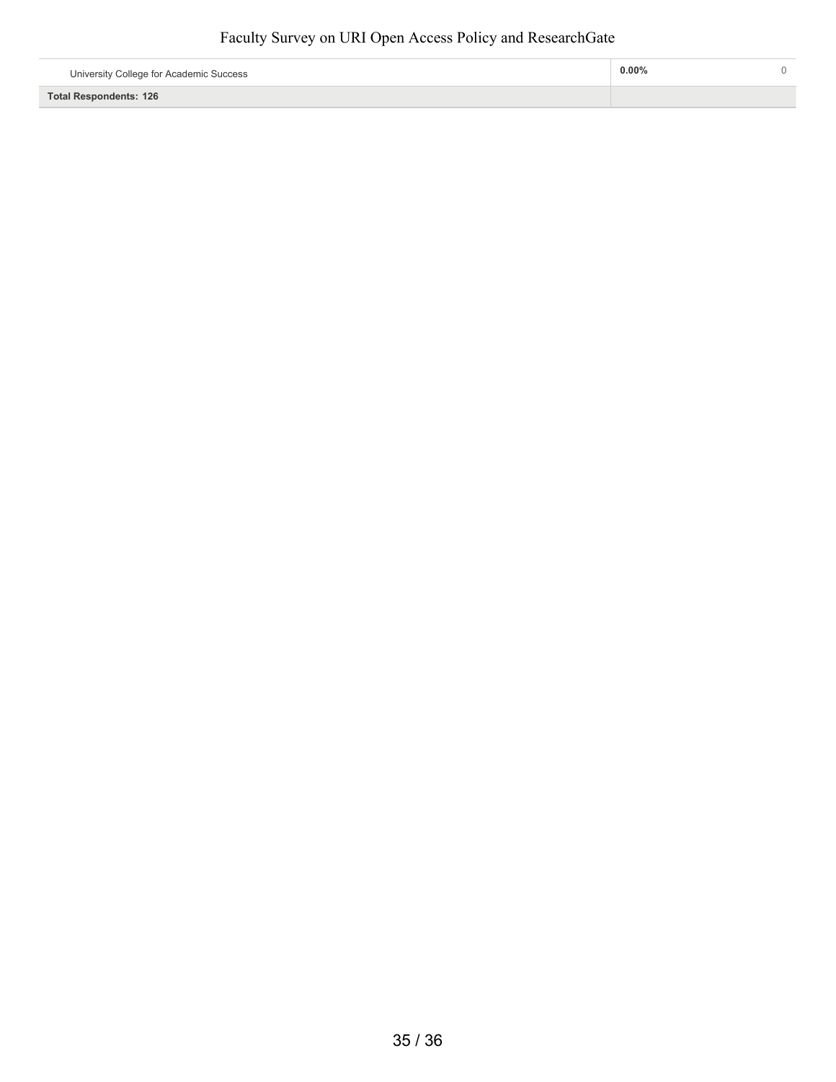| University College for Academic Success | $0.00\%$ |  |
|-----------------------------------------|----------|--|
| Total Respondents: 126                  |          |  |